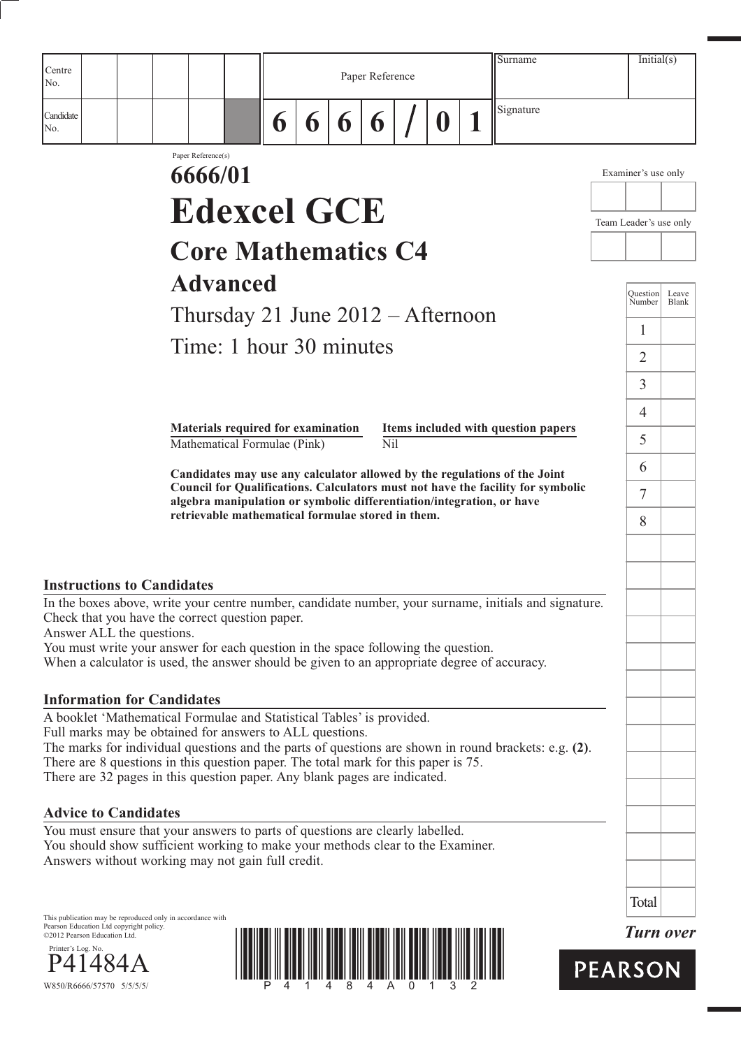| Centre                                                                                                                                                                                        |                    |                                                                    |   | Surname<br>Paper Reference |   |     |  |          |  |                                                                                                                                                          |                        |                           | Initial(s)     |
|-----------------------------------------------------------------------------------------------------------------------------------------------------------------------------------------------|--------------------|--------------------------------------------------------------------|---|----------------------------|---|-----|--|----------|--|----------------------------------------------------------------------------------------------------------------------------------------------------------|------------------------|---------------------------|----------------|
| No.                                                                                                                                                                                           |                    |                                                                    |   |                            |   |     |  |          |  |                                                                                                                                                          |                        |                           |                |
| Candidate<br>No.                                                                                                                                                                              |                    |                                                                    | 6 | 6                          | 6 | 6   |  | $\bf{0}$ |  | Signature                                                                                                                                                |                        |                           |                |
|                                                                                                                                                                                               | Paper Reference(s) |                                                                    |   |                            |   |     |  |          |  |                                                                                                                                                          |                        |                           |                |
|                                                                                                                                                                                               | 6666/01            |                                                                    |   |                            |   |     |  |          |  |                                                                                                                                                          |                        | Examiner's use only       |                |
|                                                                                                                                                                                               |                    | <b>Edexcel GCE</b>                                                 |   |                            |   |     |  |          |  |                                                                                                                                                          | Team Leader's use only |                           |                |
|                                                                                                                                                                                               |                    | <b>Core Mathematics C4</b>                                         |   |                            |   |     |  |          |  |                                                                                                                                                          |                        |                           |                |
|                                                                                                                                                                                               |                    |                                                                    |   |                            |   |     |  |          |  |                                                                                                                                                          |                        |                           |                |
|                                                                                                                                                                                               |                    | <b>Advanced</b>                                                    |   |                            |   |     |  |          |  |                                                                                                                                                          |                        | <b>Question</b><br>Number | Leave<br>Blank |
|                                                                                                                                                                                               |                    | Thursday 21 June $2012 -$ Afternoon                                |   |                            |   |     |  |          |  |                                                                                                                                                          |                        | 1                         |                |
|                                                                                                                                                                                               |                    | Time: 1 hour 30 minutes                                            |   |                            |   |     |  |          |  |                                                                                                                                                          |                        | $\overline{2}$            |                |
|                                                                                                                                                                                               |                    |                                                                    |   |                            |   |     |  |          |  |                                                                                                                                                          |                        | $\overline{3}$            |                |
|                                                                                                                                                                                               |                    |                                                                    |   |                            |   |     |  |          |  |                                                                                                                                                          |                        | 4                         |                |
|                                                                                                                                                                                               |                    | Materials required for examination<br>Mathematical Formulae (Pink) |   |                            |   | Nil |  |          |  | Items included with question papers                                                                                                                      |                        | 5                         |                |
|                                                                                                                                                                                               |                    |                                                                    |   |                            |   |     |  |          |  | Candidates may use any calculator allowed by the regulations of the Joint                                                                                |                        | 6                         |                |
|                                                                                                                                                                                               |                    |                                                                    |   |                            |   |     |  |          |  | Council for Qualifications. Calculators must not have the facility for symbolic<br>algebra manipulation or symbolic differentiation/integration, or have |                        | 7                         |                |
|                                                                                                                                                                                               |                    | retrievable mathematical formulae stored in them.                  |   |                            |   |     |  |          |  |                                                                                                                                                          |                        | 8                         |                |
|                                                                                                                                                                                               |                    |                                                                    |   |                            |   |     |  |          |  |                                                                                                                                                          |                        |                           |                |
|                                                                                                                                                                                               |                    |                                                                    |   |                            |   |     |  |          |  |                                                                                                                                                          |                        |                           |                |
| <b>Instructions to Candidates</b><br>In the boxes above, write your centre number, candidate number, your surname, initials and signature.                                                    |                    |                                                                    |   |                            |   |     |  |          |  |                                                                                                                                                          |                        |                           |                |
| Check that you have the correct question paper.                                                                                                                                               |                    |                                                                    |   |                            |   |     |  |          |  |                                                                                                                                                          |                        |                           |                |
| Answer ALL the questions.<br>You must write your answer for each question in the space following the question.                                                                                |                    |                                                                    |   |                            |   |     |  |          |  |                                                                                                                                                          |                        |                           |                |
| When a calculator is used, the answer should be given to an appropriate degree of accuracy.                                                                                                   |                    |                                                                    |   |                            |   |     |  |          |  |                                                                                                                                                          |                        |                           |                |
| <b>Information for Candidates</b>                                                                                                                                                             |                    |                                                                    |   |                            |   |     |  |          |  |                                                                                                                                                          |                        |                           |                |
| A booklet 'Mathematical Formulae and Statistical Tables' is provided.                                                                                                                         |                    |                                                                    |   |                            |   |     |  |          |  |                                                                                                                                                          |                        |                           |                |
| Full marks may be obtained for answers to ALL questions.                                                                                                                                      |                    |                                                                    |   |                            |   |     |  |          |  |                                                                                                                                                          |                        |                           |                |
| The marks for individual questions and the parts of questions are shown in round brackets: e.g. $(2)$ .<br>There are 8 questions in this question paper. The total mark for this paper is 75. |                    |                                                                    |   |                            |   |     |  |          |  |                                                                                                                                                          |                        |                           |                |
| There are 32 pages in this question paper. Any blank pages are indicated.                                                                                                                     |                    |                                                                    |   |                            |   |     |  |          |  |                                                                                                                                                          |                        |                           |                |
| <b>Advice to Candidates</b>                                                                                                                                                                   |                    |                                                                    |   |                            |   |     |  |          |  |                                                                                                                                                          |                        |                           |                |
| You must ensure that your answers to parts of questions are clearly labelled.                                                                                                                 |                    |                                                                    |   |                            |   |     |  |          |  |                                                                                                                                                          |                        |                           |                |
| You should show sufficient working to make your methods clear to the Examiner.                                                                                                                |                    |                                                                    |   |                            |   |     |  |          |  |                                                                                                                                                          |                        |                           |                |
| Answers without working may not gain full credit.                                                                                                                                             |                    |                                                                    |   |                            |   |     |  |          |  |                                                                                                                                                          |                        |                           |                |
|                                                                                                                                                                                               |                    |                                                                    |   |                            |   |     |  |          |  |                                                                                                                                                          |                        |                           |                |
| This publication may be reproduced only in accordance with                                                                                                                                    |                    |                                                                    |   |                            |   |     |  |          |  |                                                                                                                                                          |                        | Total                     |                |

This publication may be reproduced only in accordance with Pearson Education Ltd copyright policy. ©2012 Pearson Education Ltd.





*Turn over*

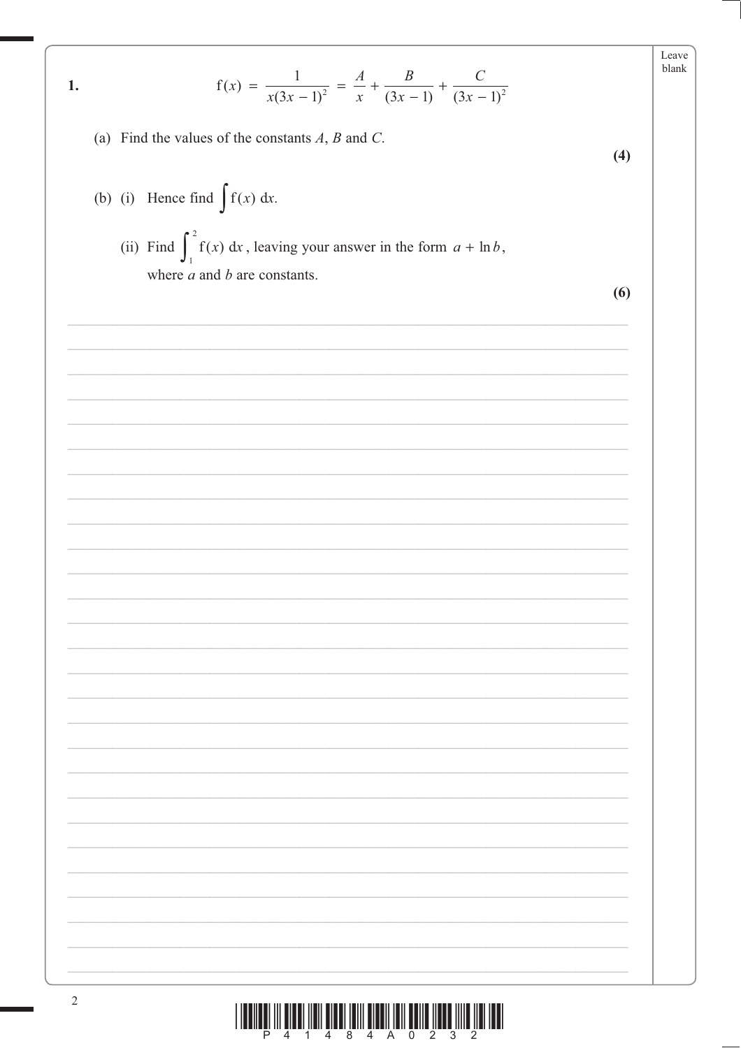$$
f(x) = \frac{1}{x(3x - 1)^2} = \frac{A}{x} + \frac{B}{(3x - 1)} + \frac{C}{(3x - 1)^2}
$$

(a) Find the values of the constants  $A$ ,  $B$  and  $C$ .

 $1.$ 

(b) (i) Hence find  $\int f(x) dx$ . (ii) Find  $\int_1^2 f(x) dx$ , leaving your answer in the form  $a + \ln b$ , where  $a$  and  $b$  are constants.

 $(6)$ 

 $(4)$ 

 $\textstyle\frac{1}{2}\left\|\left\|\left[\prod_{i=1}^n\prod_{j=1}^n\prod_{j=1}^n\prod_{j=1}^n\prod_{j=1}^n\prod_{j=1}^n\prod_{j=1}^n\prod_{j=1}^n\prod_{j=1}^n\prod_{j=1}^n\prod_{j=1}^n\prod_{j=1}^n\prod_{j=1}^n\prod_{j=1}^n\prod_{j=1}^n\prod_{j=1}^n\prod_{j=1}^n\prod_{j=1}^n\prod_{j=1}^n\prod_{j=1}^n\prod_{j=1}^n\prod_{j=1}^n\prod_{j=$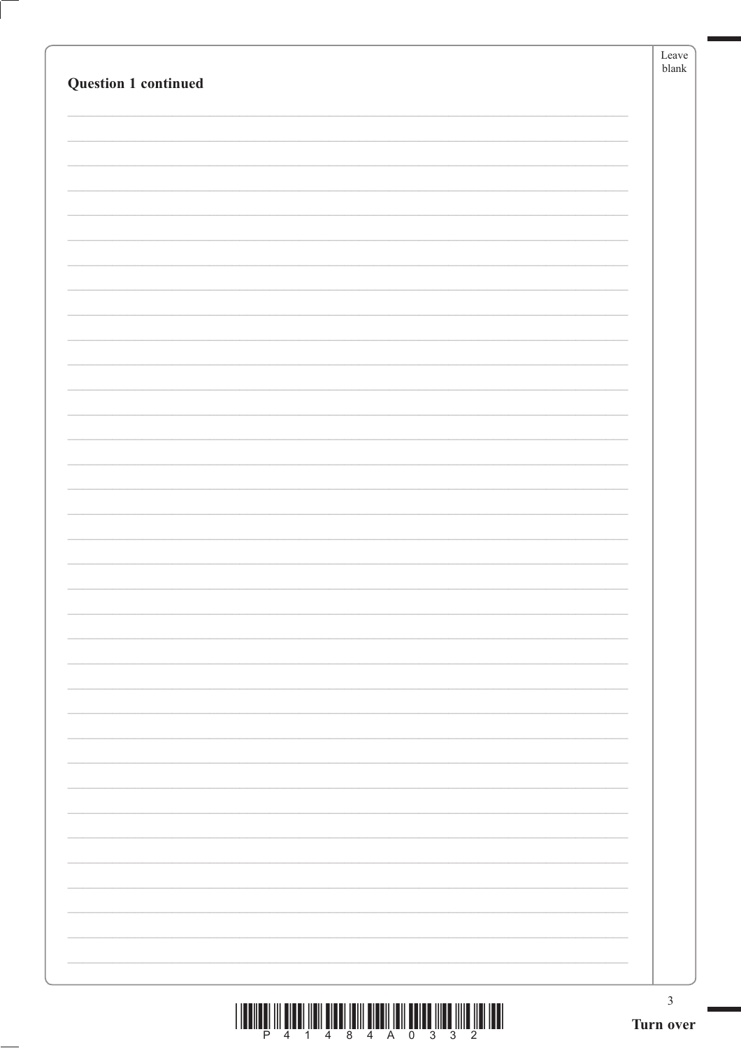|                                                                             | $\operatorname{Leave}$<br>${\it blank}$ |  |
|-----------------------------------------------------------------------------|-----------------------------------------|--|
| <b>Question 1 continued</b>                                                 |                                         |  |
|                                                                             |                                         |  |
|                                                                             |                                         |  |
|                                                                             |                                         |  |
|                                                                             |                                         |  |
|                                                                             |                                         |  |
|                                                                             |                                         |  |
|                                                                             |                                         |  |
|                                                                             |                                         |  |
|                                                                             |                                         |  |
|                                                                             |                                         |  |
|                                                                             |                                         |  |
|                                                                             |                                         |  |
|                                                                             |                                         |  |
|                                                                             |                                         |  |
|                                                                             |                                         |  |
|                                                                             |                                         |  |
|                                                                             |                                         |  |
|                                                                             |                                         |  |
|                                                                             |                                         |  |
|                                                                             |                                         |  |
|                                                                             |                                         |  |
|                                                                             |                                         |  |
|                                                                             |                                         |  |
|                                                                             |                                         |  |
|                                                                             |                                         |  |
|                                                                             |                                         |  |
|                                                                             |                                         |  |
|                                                                             |                                         |  |
|                                                                             |                                         |  |
|                                                                             |                                         |  |
|                                                                             |                                         |  |
|                                                                             |                                         |  |
|                                                                             |                                         |  |
|                                                                             |                                         |  |
|                                                                             |                                         |  |
|                                                                             |                                         |  |
|                                                                             |                                         |  |
|                                                                             |                                         |  |
|                                                                             |                                         |  |
|                                                                             |                                         |  |
| THE THE THE REPORT OF THE REPORT OF THE REPORT OF THE REPORT OF THE REPORT. | $\ensuremath{\mathfrak{Z}}$             |  |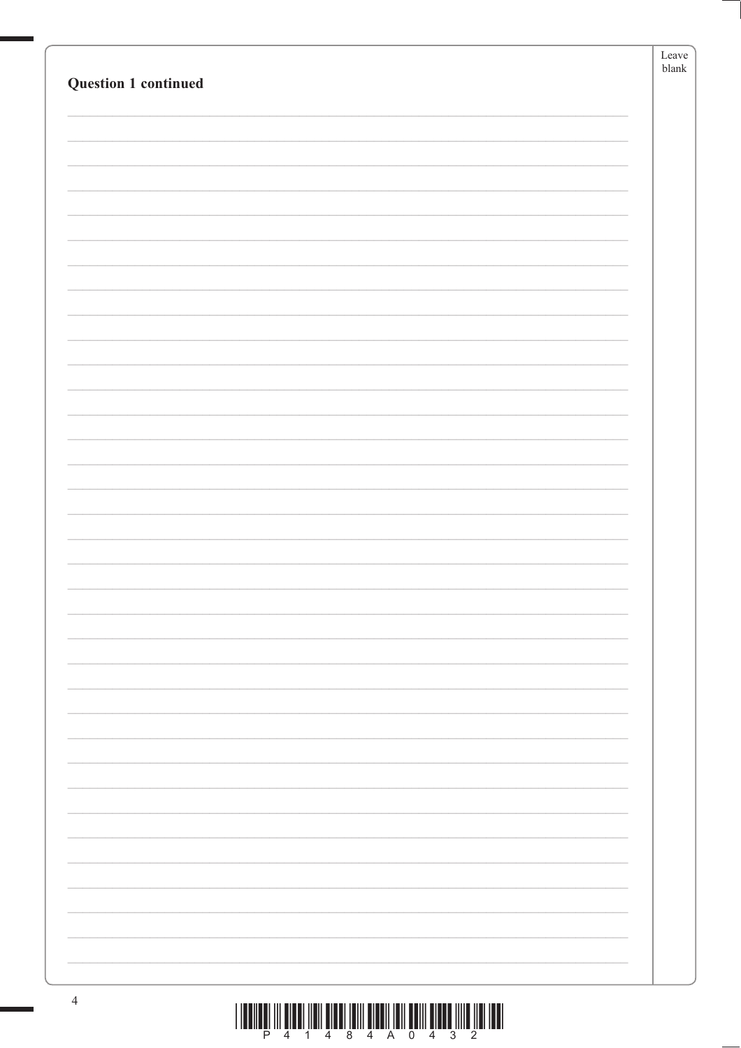|                             | Leave |
|-----------------------------|-------|
|                             | blank |
| <b>Question 1 continued</b> |       |
|                             |       |
|                             |       |
|                             |       |
|                             |       |
|                             |       |
|                             |       |
|                             |       |
|                             |       |
|                             |       |
|                             |       |
|                             |       |
|                             |       |
|                             |       |
|                             |       |
|                             |       |
|                             |       |
|                             |       |
|                             |       |
|                             |       |
|                             |       |
|                             |       |
|                             |       |
|                             |       |
|                             |       |
|                             |       |
|                             |       |
|                             |       |
|                             |       |
|                             |       |
|                             |       |
|                             |       |
|                             |       |
|                             |       |
|                             |       |
|                             |       |
|                             |       |
|                             |       |
|                             |       |
|                             |       |
|                             |       |
|                             |       |
|                             |       |
|                             |       |
|                             |       |
|                             |       |
|                             |       |
|                             |       |
|                             |       |
|                             |       |
|                             |       |
|                             |       |
|                             |       |
|                             |       |
|                             |       |
|                             |       |
|                             |       |
|                             |       |
|                             |       |
|                             |       |
|                             |       |
|                             |       |
|                             |       |
|                             |       |
|                             |       |
|                             |       |
|                             |       |
|                             |       |
|                             |       |
|                             |       |
|                             |       |
|                             |       |
|                             |       |
|                             |       |
|                             |       |
|                             |       |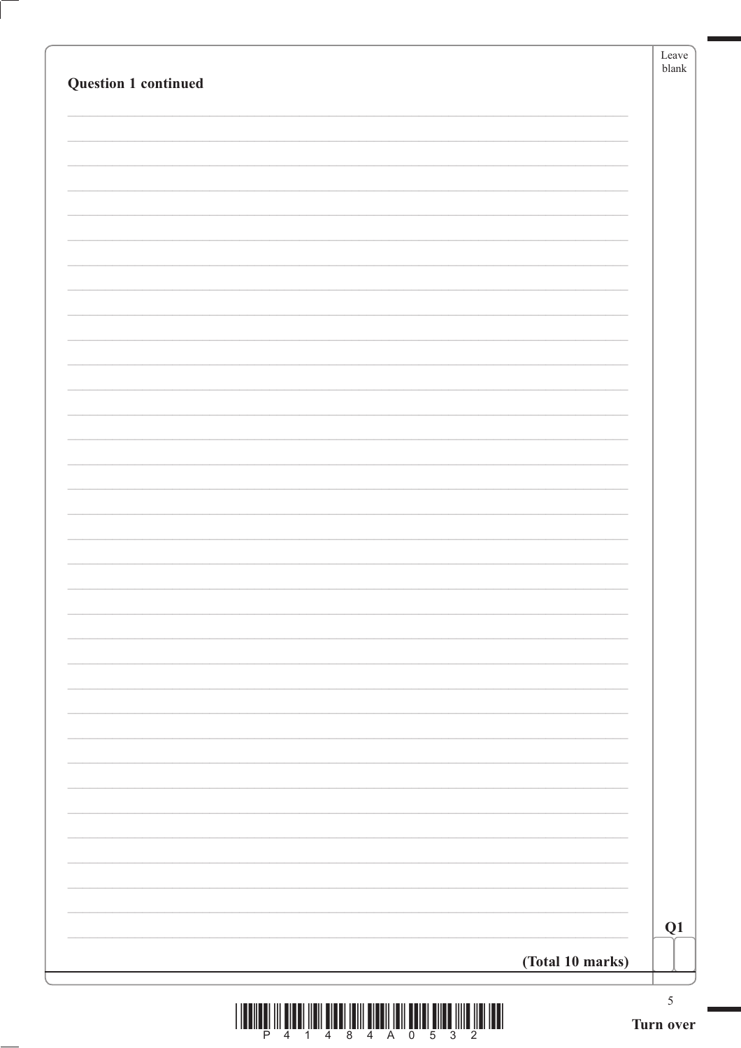| <b>Question 1 continued</b> | Leave<br>${\tt blank}$ |
|-----------------------------|------------------------|
|                             |                        |
|                             |                        |
|                             |                        |
|                             |                        |
|                             |                        |
|                             |                        |
|                             |                        |
|                             |                        |
|                             |                        |
|                             |                        |
|                             |                        |
|                             |                        |
|                             |                        |
|                             |                        |
|                             |                        |
|                             |                        |
|                             |                        |
|                             |                        |
|                             |                        |
|                             |                        |
|                             |                        |
|                             |                        |
|                             |                        |
| (Total 10 marks)            | Q1                     |
|                             | $\sqrt{5}$             |

| <u> 1999 - Andrej Marije, matematika i poznati svojih prostavanja i poziti s predsjednje prostavanje i poziti s</u> |                       |  |  |  |  |
|---------------------------------------------------------------------------------------------------------------------|-----------------------|--|--|--|--|
|                                                                                                                     | P 4 1 4 8 4 A 0 5 3 2 |  |  |  |  |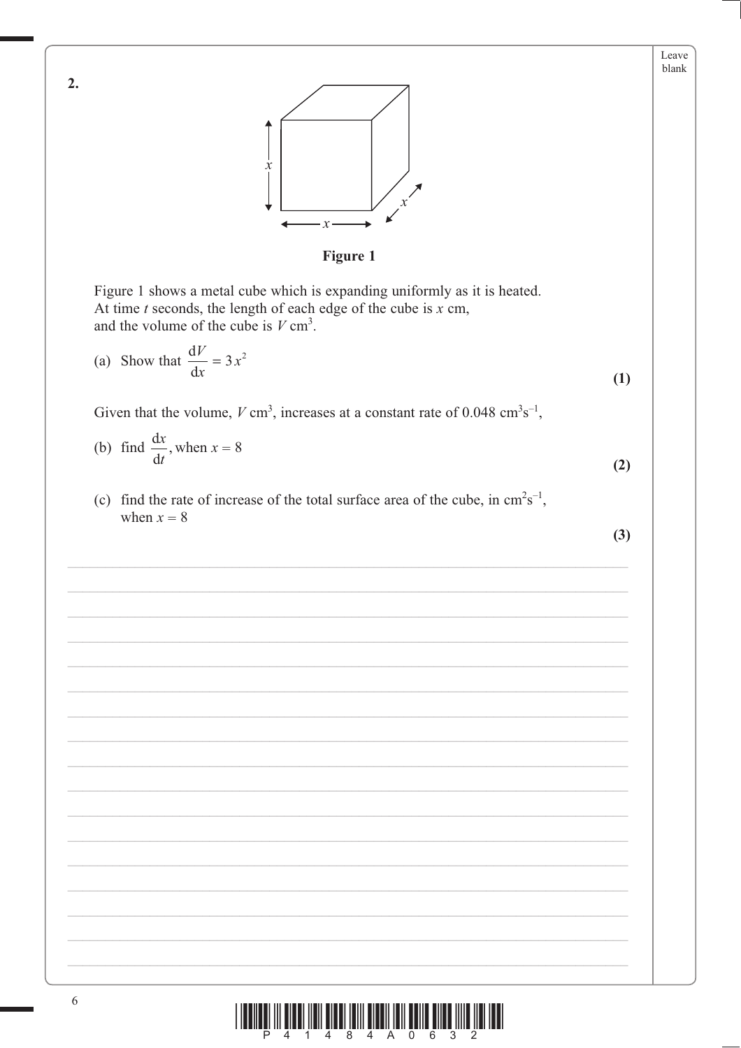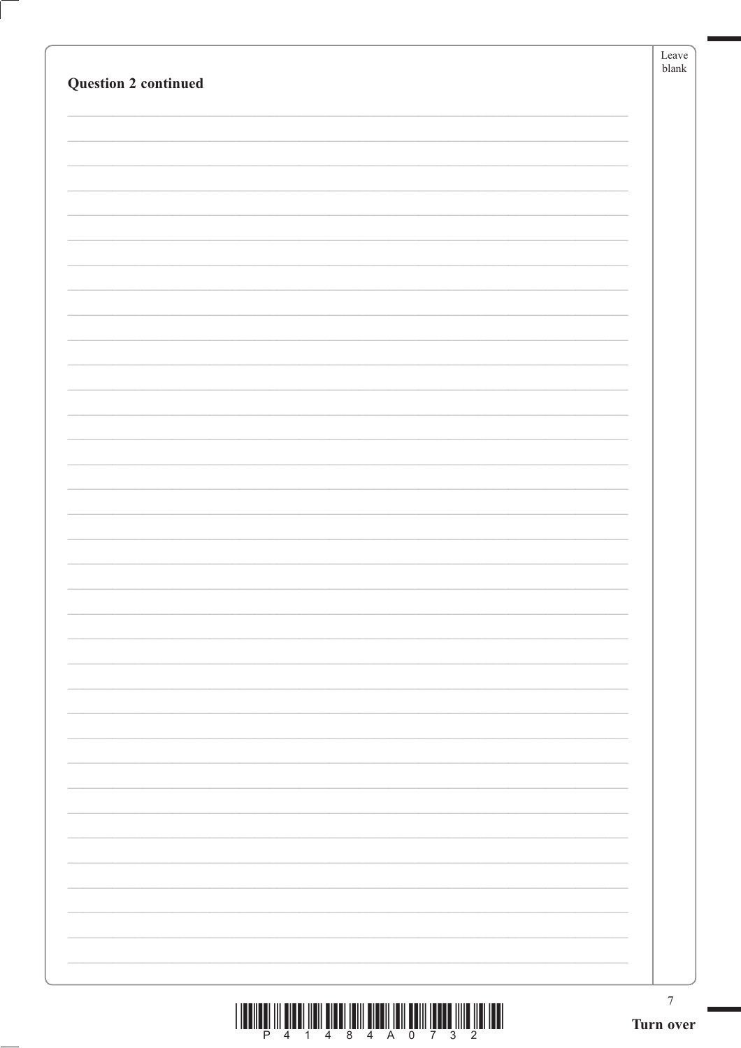|                             | Leave<br>${\it blank}$ |
|-----------------------------|------------------------|
| <b>Question 2 continued</b> |                        |
|                             |                        |
|                             |                        |
|                             |                        |
|                             |                        |
|                             |                        |
|                             |                        |
|                             |                        |
|                             |                        |
|                             |                        |
|                             |                        |
|                             |                        |
|                             |                        |
|                             |                        |
|                             |                        |
|                             |                        |
|                             |                        |
|                             |                        |
|                             |                        |
|                             |                        |
|                             |                        |
|                             |                        |
|                             |                        |
|                             |                        |
|                             |                        |
|                             |                        |
|                             |                        |
|                             |                        |
|                             |                        |
|                             |                        |
|                             |                        |
|                             |                        |
|                             |                        |
|                             |                        |
|                             |                        |
|                             | $\boldsymbol{7}$       |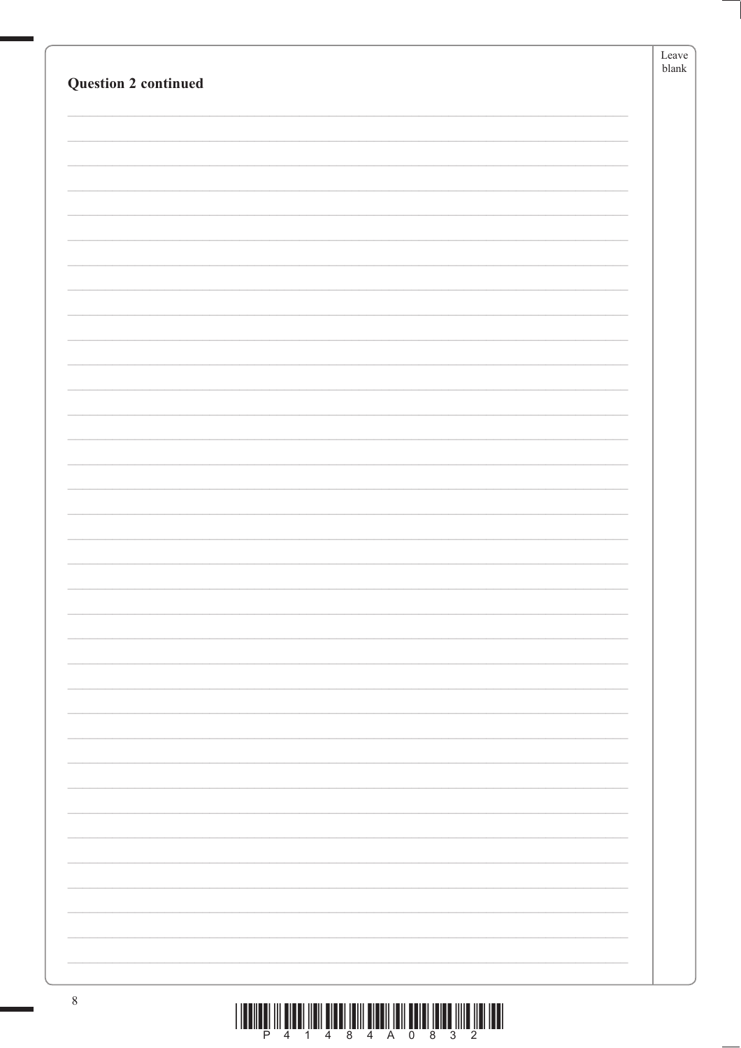| <b>Question 2 continued</b> | Leave<br>${\tt blank}$ |
|-----------------------------|------------------------|
|                             |                        |
|                             |                        |
|                             |                        |
|                             |                        |
|                             |                        |
|                             |                        |
|                             |                        |
|                             |                        |
|                             |                        |
|                             |                        |
|                             |                        |
|                             |                        |
|                             |                        |
|                             |                        |
|                             |                        |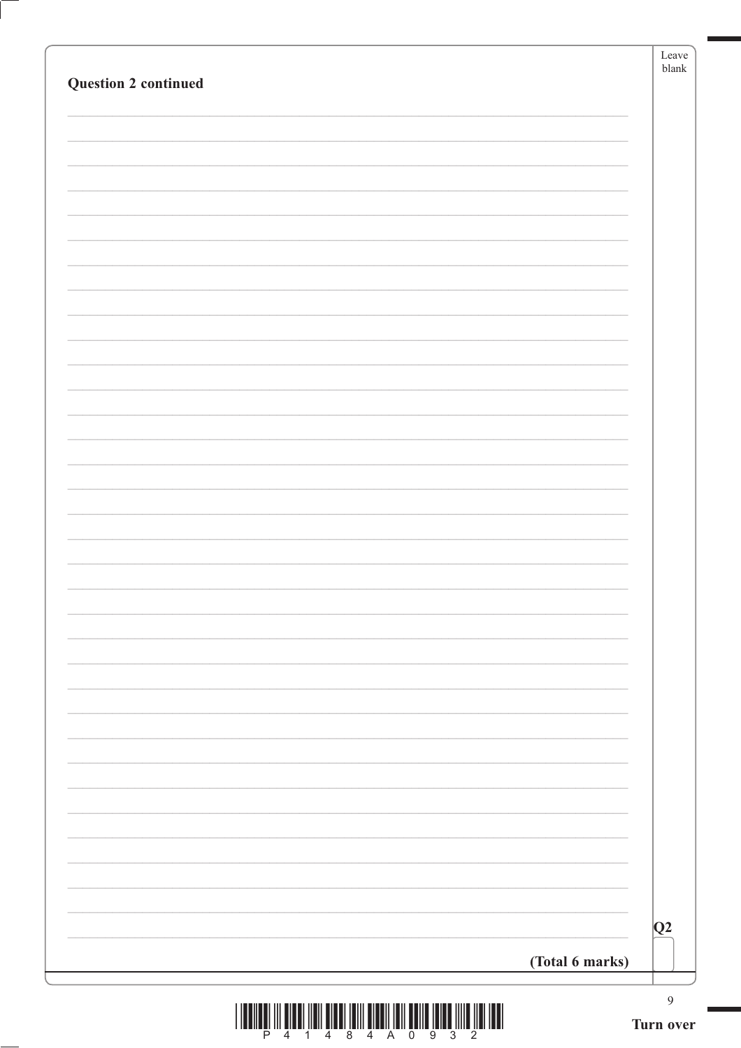| Question 2 continued                                                                                                                                                                                                                                                                                                                                                                                                                                                                                                                                                                                                                                                                                                                                                                                                                                                                              |                 | Leave<br>${\sf blank}$      |
|---------------------------------------------------------------------------------------------------------------------------------------------------------------------------------------------------------------------------------------------------------------------------------------------------------------------------------------------------------------------------------------------------------------------------------------------------------------------------------------------------------------------------------------------------------------------------------------------------------------------------------------------------------------------------------------------------------------------------------------------------------------------------------------------------------------------------------------------------------------------------------------------------|-----------------|-----------------------------|
|                                                                                                                                                                                                                                                                                                                                                                                                                                                                                                                                                                                                                                                                                                                                                                                                                                                                                                   |                 |                             |
|                                                                                                                                                                                                                                                                                                                                                                                                                                                                                                                                                                                                                                                                                                                                                                                                                                                                                                   |                 |                             |
|                                                                                                                                                                                                                                                                                                                                                                                                                                                                                                                                                                                                                                                                                                                                                                                                                                                                                                   |                 |                             |
|                                                                                                                                                                                                                                                                                                                                                                                                                                                                                                                                                                                                                                                                                                                                                                                                                                                                                                   |                 |                             |
|                                                                                                                                                                                                                                                                                                                                                                                                                                                                                                                                                                                                                                                                                                                                                                                                                                                                                                   |                 |                             |
|                                                                                                                                                                                                                                                                                                                                                                                                                                                                                                                                                                                                                                                                                                                                                                                                                                                                                                   |                 |                             |
|                                                                                                                                                                                                                                                                                                                                                                                                                                                                                                                                                                                                                                                                                                                                                                                                                                                                                                   |                 |                             |
|                                                                                                                                                                                                                                                                                                                                                                                                                                                                                                                                                                                                                                                                                                                                                                                                                                                                                                   |                 |                             |
|                                                                                                                                                                                                                                                                                                                                                                                                                                                                                                                                                                                                                                                                                                                                                                                                                                                                                                   |                 |                             |
|                                                                                                                                                                                                                                                                                                                                                                                                                                                                                                                                                                                                                                                                                                                                                                                                                                                                                                   |                 |                             |
|                                                                                                                                                                                                                                                                                                                                                                                                                                                                                                                                                                                                                                                                                                                                                                                                                                                                                                   |                 |                             |
|                                                                                                                                                                                                                                                                                                                                                                                                                                                                                                                                                                                                                                                                                                                                                                                                                                                                                                   |                 |                             |
|                                                                                                                                                                                                                                                                                                                                                                                                                                                                                                                                                                                                                                                                                                                                                                                                                                                                                                   |                 |                             |
|                                                                                                                                                                                                                                                                                                                                                                                                                                                                                                                                                                                                                                                                                                                                                                                                                                                                                                   |                 |                             |
|                                                                                                                                                                                                                                                                                                                                                                                                                                                                                                                                                                                                                                                                                                                                                                                                                                                                                                   |                 | Q2                          |
|                                                                                                                                                                                                                                                                                                                                                                                                                                                                                                                                                                                                                                                                                                                                                                                                                                                                                                   | (Total 6 marks) |                             |
| $\left\  \prod_{4} \prod_{1} \prod_{2} \prod_{3} \prod_{4} \prod_{5} \prod_{4} \prod_{1} \prod_{1} \prod_{1} \prod_{2} \prod_{1} \prod_{3} \prod_{2} \prod_{2} \prod_{1} \prod_{1} \prod_{1} \prod_{2} \prod_{1} \prod_{2} \prod_{1} \prod_{2} \prod_{1} \prod_{1} \prod_{2} \prod_{1} \prod_{2} \prod_{1} \prod_{2} \prod_{1} \prod_{1} \prod_{2} \prod_{1} \prod_{2} \prod_{1} \prod_{1} \prod_{2} \prod_{1} \prod_{2} \prod_{1} \prod_{1} \prod_{2} \$<br>$\begin{array}{c} \begin{array}{c} \rule{0pt}{2ex} \rule{0pt}{2ex} \rule{0pt}{2ex} \rule{0pt}{2ex} \rule{0pt}{2ex} \rule{0pt}{2ex} \rule{0pt}{2ex} \rule{0pt}{2ex} \rule{0pt}{2ex} \rule{0pt}{2ex} \rule{0pt}{2ex} \rule{0pt}{2ex} \rule{0pt}{2ex} \rule{0pt}{2ex} \rule{0pt}{2ex} \rule{0pt}{2ex} \rule{0pt}{2ex} \rule{0pt}{2ex} \rule{0pt}{2ex} \rule{0pt}{2ex} \rule{0pt}{2ex} \rule{0pt}{2ex} \rule{0pt}{2ex$<br>$\overline{4}$ |                 | $\overline{9}$<br>Turn over |

ſ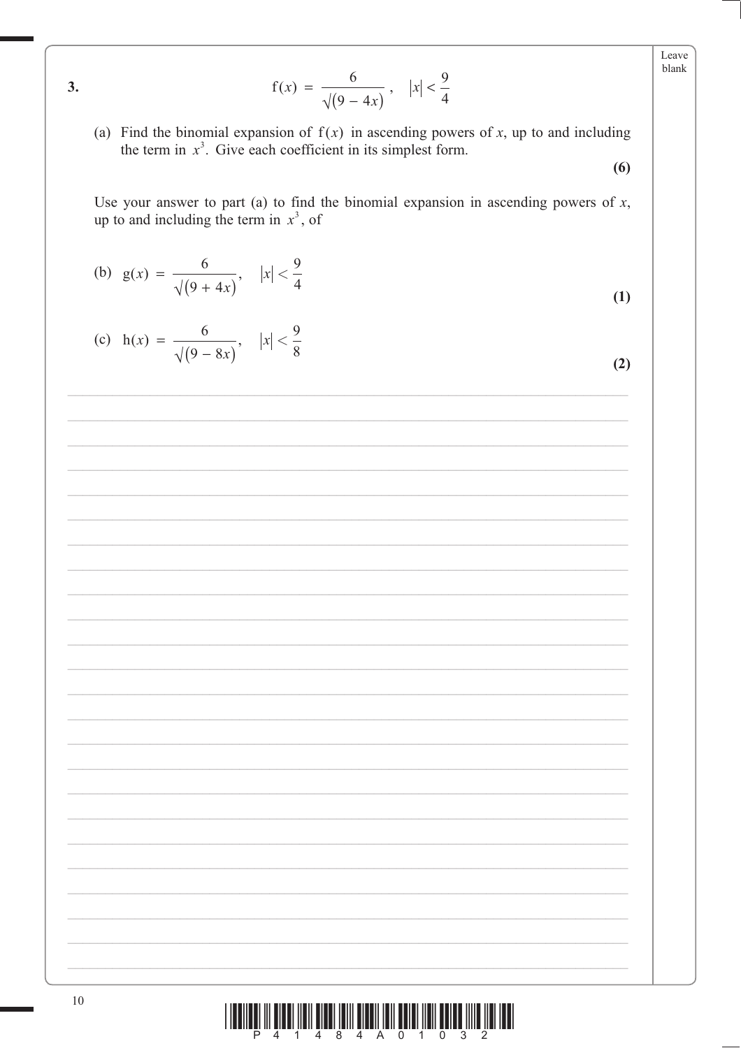Leave blank

 $f(x) = \frac{6}{\sqrt{(9-4x)}}, \quad |x| < \frac{9}{4}$ 

(a) Find the binomial expansion of  $f(x)$  in ascending powers of x, up to and including the term in  $x^3$ . Give each coefficient in its simplest form.  $(6)$ 

Use your answer to part (a) to find the binomial expansion in ascending powers of  $x$ , up to and including the term in  $x^3$ , of

(b) 
$$
g(x) = \frac{6}{\sqrt{9+4x}}
$$
,  $|x| < \frac{9}{4}$ 

 $3.$ 

(c) 
$$
h(x) = \frac{6}{\sqrt{(9-8x)}}, \quad |x| < \frac{9}{8}
$$

 $(2)$ 

 $(1)$ 

|  |  |  |  | <u> III Martin Martin Martin Martin Martin Martin Martin Martin Martin Martin Martin Martin Martin Mar</u> |  |  |  |
|--|--|--|--|------------------------------------------------------------------------------------------------------------|--|--|--|
|  |  |  |  | P 4 1 4 8 4 A 0 1 0 3 2                                                                                    |  |  |  |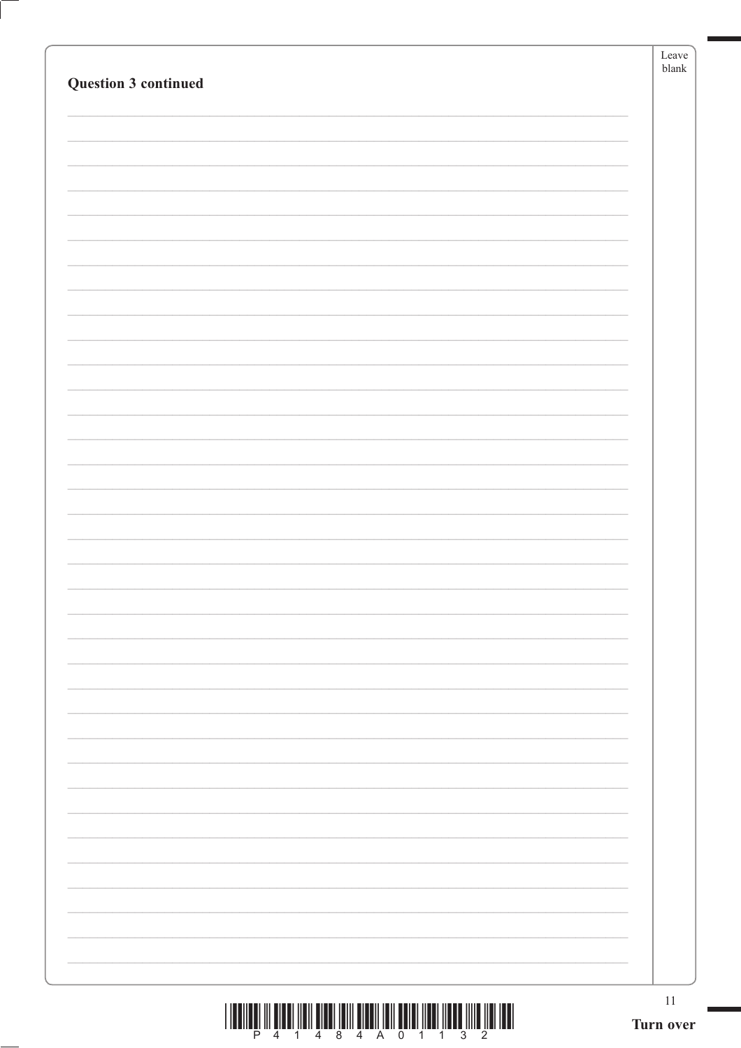| Question 3 continued | Leave<br>blank  |
|----------------------|-----------------|
|                      |                 |
|                      |                 |
|                      |                 |
|                      |                 |
|                      |                 |
|                      |                 |
|                      |                 |
|                      |                 |
|                      |                 |
|                      |                 |
|                      |                 |
|                      |                 |
|                      |                 |
|                      |                 |
|                      |                 |
|                      |                 |
|                      |                 |
|                      |                 |
|                      |                 |
|                      |                 |
|                      |                 |
|                      |                 |
|                      |                 |
|                      |                 |
|                      | 11<br>Turn over |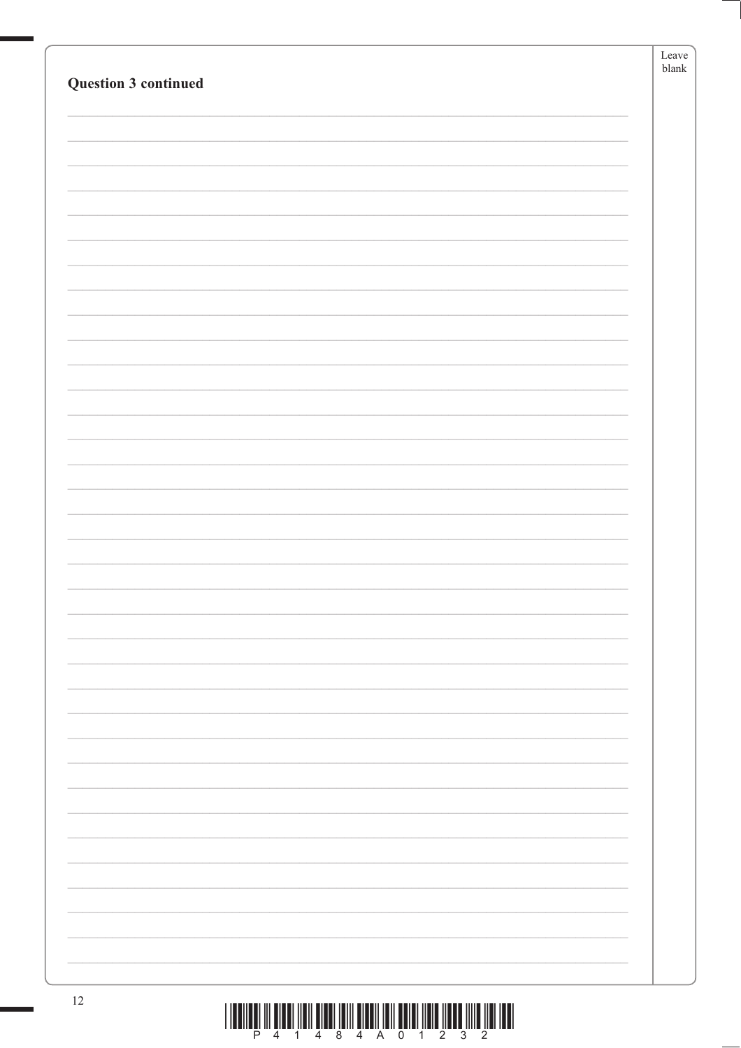|                      | Leave<br>blank |
|----------------------|----------------|
| Question 3 continued |                |
|                      |                |
|                      |                |
|                      |                |
|                      |                |
|                      |                |
|                      |                |
|                      |                |
|                      |                |
|                      |                |
|                      |                |
|                      |                |
|                      |                |
|                      |                |
|                      |                |
|                      |                |
|                      |                |
|                      |                |
|                      |                |
|                      |                |
|                      |                |
|                      |                |
|                      |                |
|                      |                |
|                      |                |
|                      |                |
|                      |                |
|                      |                |
|                      |                |
|                      |                |
|                      |                |
|                      |                |
|                      |                |
|                      |                |
|                      |                |
|                      |                |
|                      |                |
|                      |                |
| 12                   |                |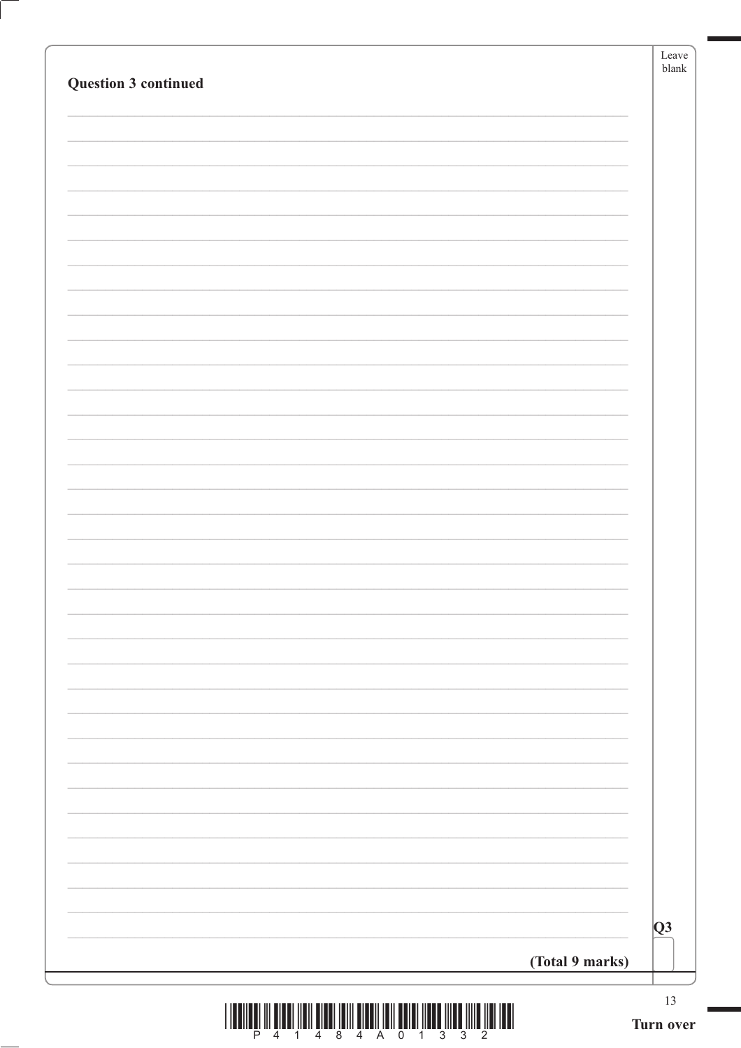| Question 3 continued | Leave<br>${\tt blank}$ |
|----------------------|------------------------|
|                      |                        |
|                      |                        |
|                      |                        |
|                      |                        |
|                      |                        |
|                      |                        |
|                      |                        |
|                      |                        |
|                      |                        |
|                      |                        |
|                      |                        |
|                      |                        |
|                      |                        |
|                      |                        |
|                      |                        |
|                      |                        |
|                      |                        |
| (Total 9 marks)      | Q3                     |
|                      | 13                     |

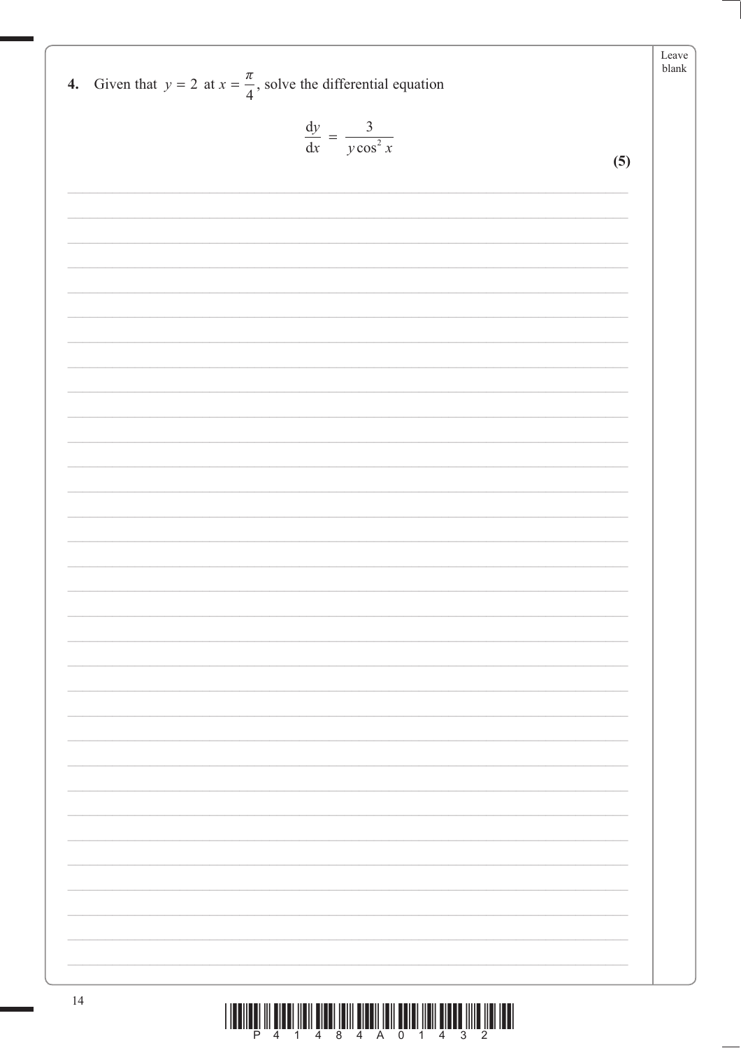| 4. Given that $y = 2$ at $x = \frac{\pi}{4}$ , solve the differential equation               | Leave<br>blank |
|----------------------------------------------------------------------------------------------|----------------|
| $\frac{\mathrm{d}y}{\mathrm{d}x} = \frac{3}{y\cos^2 x}$                                      |                |
| (5)                                                                                          |                |
|                                                                                              |                |
|                                                                                              |                |
|                                                                                              |                |
|                                                                                              |                |
|                                                                                              |                |
|                                                                                              |                |
|                                                                                              |                |
|                                                                                              |                |
|                                                                                              |                |
|                                                                                              |                |
|                                                                                              |                |
|                                                                                              |                |
|                                                                                              |                |
|                                                                                              |                |
|                                                                                              |                |
|                                                                                              |                |
|                                                                                              |                |
|                                                                                              |                |
|                                                                                              |                |
|                                                                                              |                |
|                                                                                              |                |
|                                                                                              |                |
|                                                                                              |                |
| 14<br><u> 1 IEENEEL III WIEDI IIEN WIEDI IWII WIWOII IEN WORD IIEN WIEDE IIIE IIEN IWI I</u> |                |

 $\begin{array}{c} \hbox{||llulling||} \\ \hline \end{array} \begin{array}{c} \hbox{||llulling} \\ \hline \end{array} \begin{array}{c} \hbox{||llulling} \\ \hline \end{array} \begin{array}{c} \hbox{||llilling} \\ \hline \end{array} \begin{array}{c} \hbox{||llilling} \\ \hline \end{array} \begin{array}{c} \hbox{||llllq} \\ \hline \end{array} \begin{array}{c} \hbox{||llllq} \\ \hline \end{array} \begin{array}{c} \hbox{||llllq} \\ \hline \end{array} \begin{array}{c} \hbox{||llllq} \\ \h$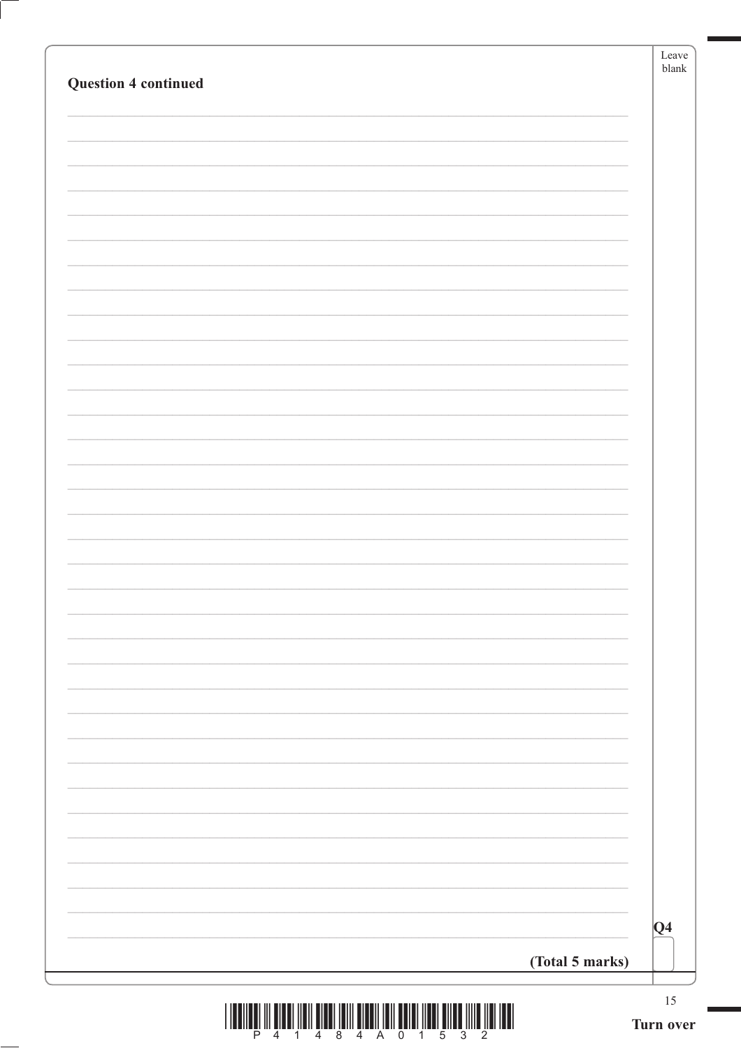|                             | Leave<br>$b$ lank |
|-----------------------------|-------------------|
| <b>Question 4 continued</b> |                   |
|                             |                   |
|                             |                   |
|                             |                   |
|                             |                   |
|                             |                   |
|                             |                   |
|                             |                   |
|                             |                   |
|                             |                   |
|                             |                   |
|                             |                   |
|                             |                   |
|                             |                   |
|                             |                   |
|                             |                   |
|                             |                   |
|                             |                   |
|                             |                   |
|                             |                   |
|                             |                   |
|                             |                   |
|                             |                   |
|                             |                   |
|                             |                   |
|                             |                   |
|                             |                   |
|                             |                   |
|                             |                   |
|                             |                   |
|                             | $ Q_4$            |
| (Total 5 marks)             |                   |
|                             | $15\,$            |

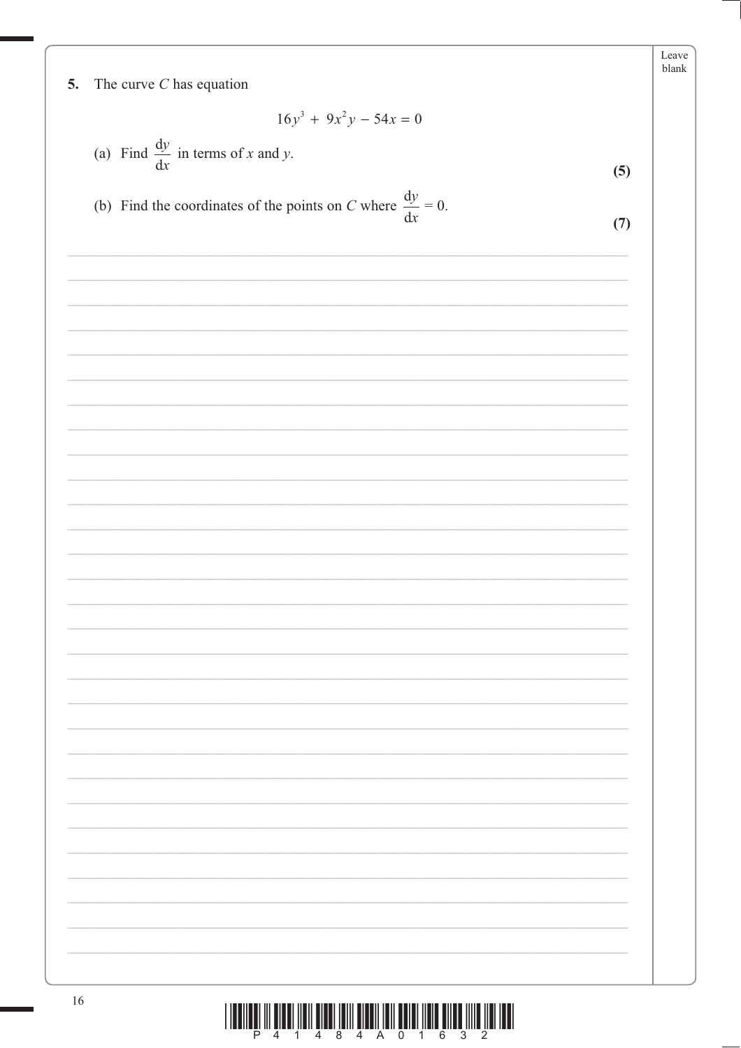|    |                                                                         | Leave<br>${\tt blank}$ |
|----|-------------------------------------------------------------------------|------------------------|
| 5. | The curve $C$ has equation                                              |                        |
|    | $16y^3 + 9x^2y - 54x = 0$                                               |                        |
|    | (a) Find $\frac{dy}{dx}$ in terms of x and y.                           |                        |
|    |                                                                         | (5)                    |
|    | (b) Find the coordinates of the points on C where $\frac{dy}{dx} = 0$ . | (7)                    |
|    |                                                                         |                        |
|    |                                                                         |                        |
|    |                                                                         |                        |
|    |                                                                         |                        |
|    |                                                                         |                        |
|    |                                                                         |                        |
|    |                                                                         |                        |
|    |                                                                         |                        |
|    |                                                                         |                        |
|    |                                                                         |                        |
|    |                                                                         |                        |
|    |                                                                         |                        |
|    |                                                                         |                        |
|    |                                                                         |                        |
|    |                                                                         |                        |
|    |                                                                         |                        |
|    |                                                                         |                        |

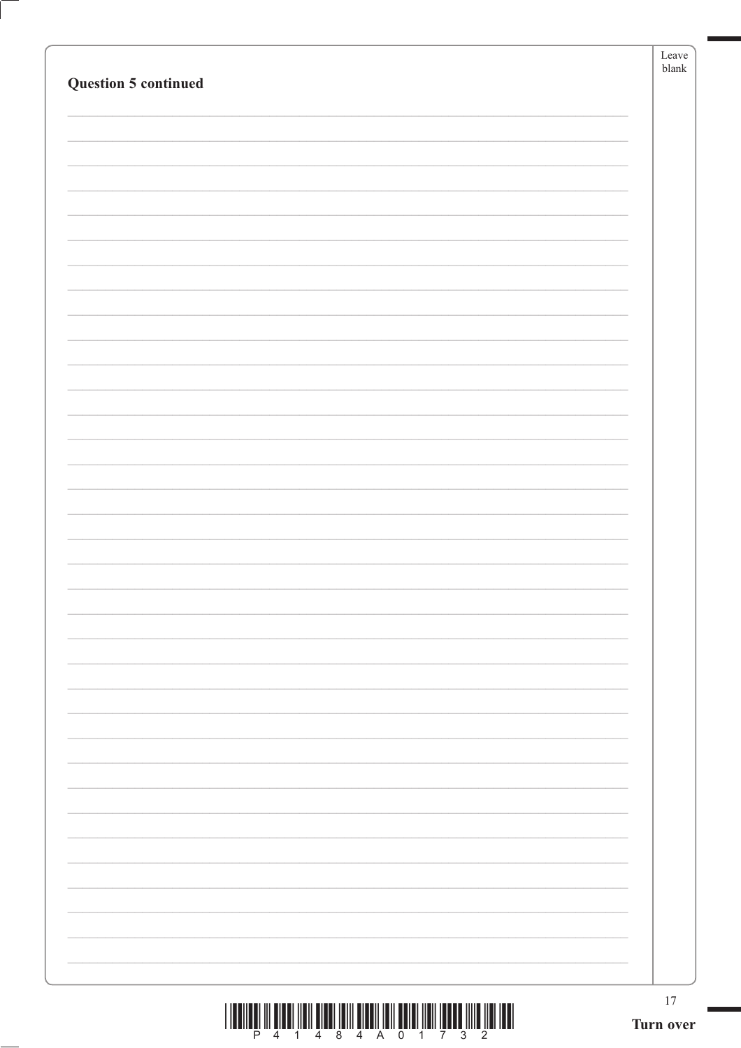| <b>Question 5 continued</b>                                                         | Leave<br>blank |
|-------------------------------------------------------------------------------------|----------------|
|                                                                                     |                |
|                                                                                     |                |
|                                                                                     |                |
|                                                                                     |                |
|                                                                                     |                |
|                                                                                     |                |
|                                                                                     |                |
|                                                                                     |                |
|                                                                                     |                |
|                                                                                     |                |
|                                                                                     |                |
|                                                                                     |                |
|                                                                                     |                |
|                                                                                     |                |
|                                                                                     |                |
|                                                                                     |                |
|                                                                                     |                |
|                                                                                     |                |
|                                                                                     |                |
|                                                                                     |                |
|                                                                                     |                |
|                                                                                     |                |
|                                                                                     |                |
|                                                                                     |                |
|                                                                                     |                |
|                                                                                     |                |
|                                                                                     |                |
|                                                                                     |                |
|                                                                                     |                |
|                                                                                     |                |
| <u> I den een in eier nen eier ien eiern een een bedrij na de een inte nei de l</u> | $17\,$         |

 $\begin{array}{c|c|c|c|c|c|c|c|c} \hline \textbf{H} & \textbf{H} & \textbf{H} & \textbf{H} & \textbf{H} & \textbf{H} & \textbf{H} & \textbf{H} & \textbf{H} & \textbf{H} & \textbf{H} & \textbf{H} & \textbf{H} & \textbf{H} & \textbf{H} & \textbf{H} & \textbf{H} & \textbf{H} & \textbf{H} & \textbf{H} & \textbf{H} & \textbf{H} & \textbf{H} & \textbf{H} & \textbf{H} & \textbf{H} & \textbf{H} & \textbf{H$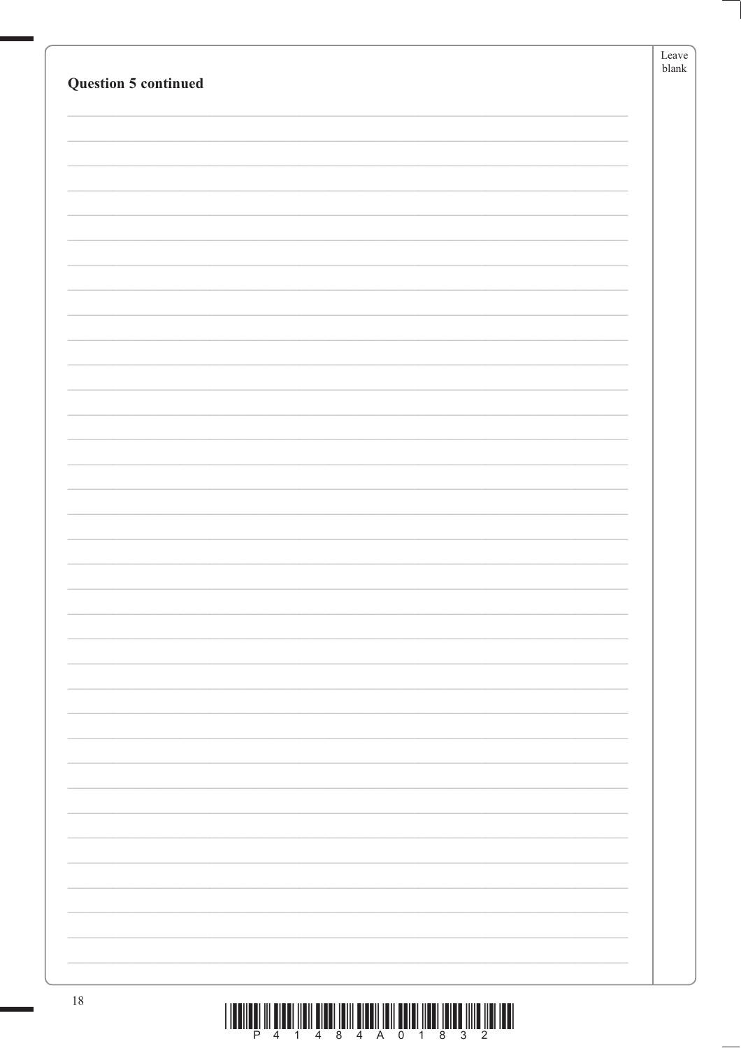|                      | Leave<br>${\tt blank}$ |
|----------------------|------------------------|
| Question 5 continued |                        |
|                      |                        |
|                      |                        |
|                      |                        |
|                      |                        |
|                      |                        |
|                      |                        |
|                      |                        |
|                      |                        |
|                      |                        |
|                      |                        |
|                      |                        |
|                      |                        |
|                      |                        |
|                      |                        |
|                      |                        |
|                      |                        |
|                      |                        |
|                      |                        |
|                      |                        |
|                      |                        |
|                      |                        |
|                      |                        |
|                      |                        |
|                      |                        |
|                      |                        |
|                      |                        |
|                      |                        |
|                      |                        |
|                      |                        |
|                      |                        |
|                      |                        |
| $18\,$               |                        |

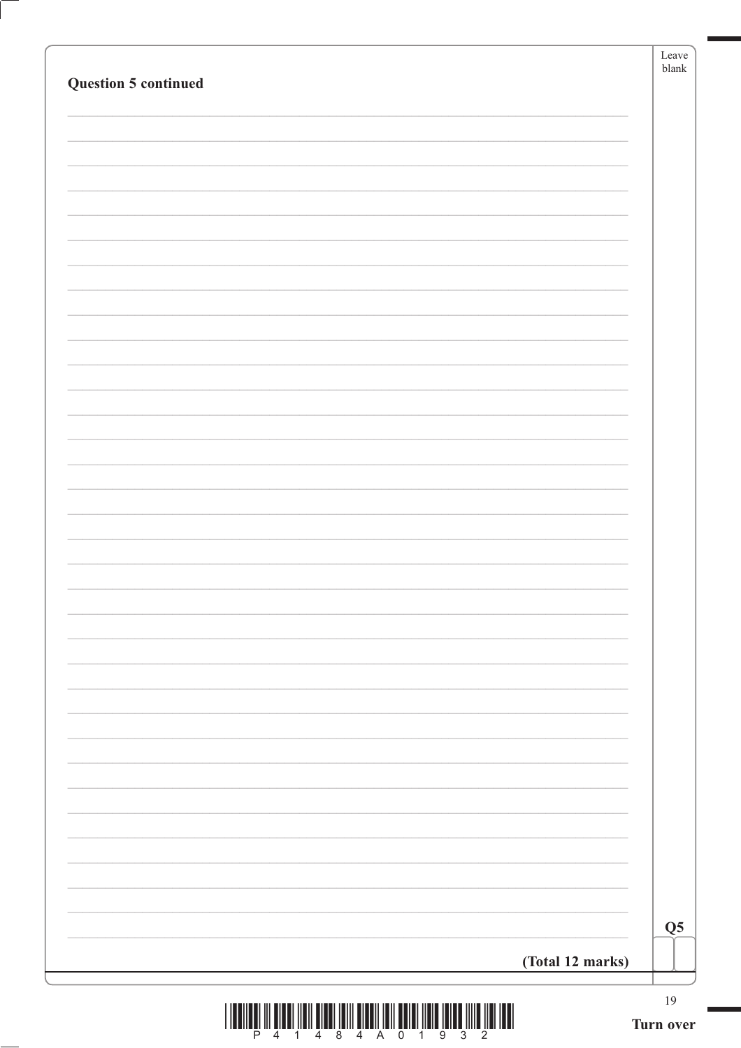| <b>Question 5 continued</b> | blank                     |
|-----------------------------|---------------------------|
|                             |                           |
|                             |                           |
|                             |                           |
|                             |                           |
|                             |                           |
|                             |                           |
|                             |                           |
|                             |                           |
|                             |                           |
|                             |                           |
|                             |                           |
|                             |                           |
|                             |                           |
|                             |                           |
|                             |                           |
|                             |                           |
|                             |                           |
|                             |                           |
|                             |                           |
|                             |                           |
|                             |                           |
|                             | $\overline{\mathbf{Q}}$ 5 |



Ţ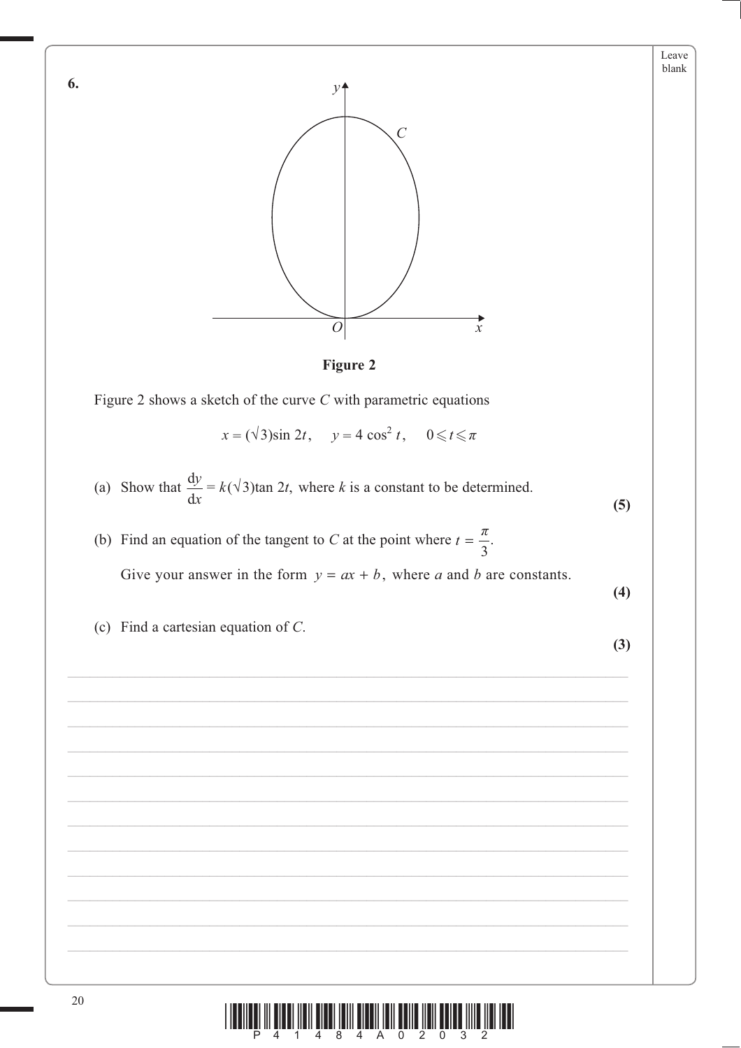

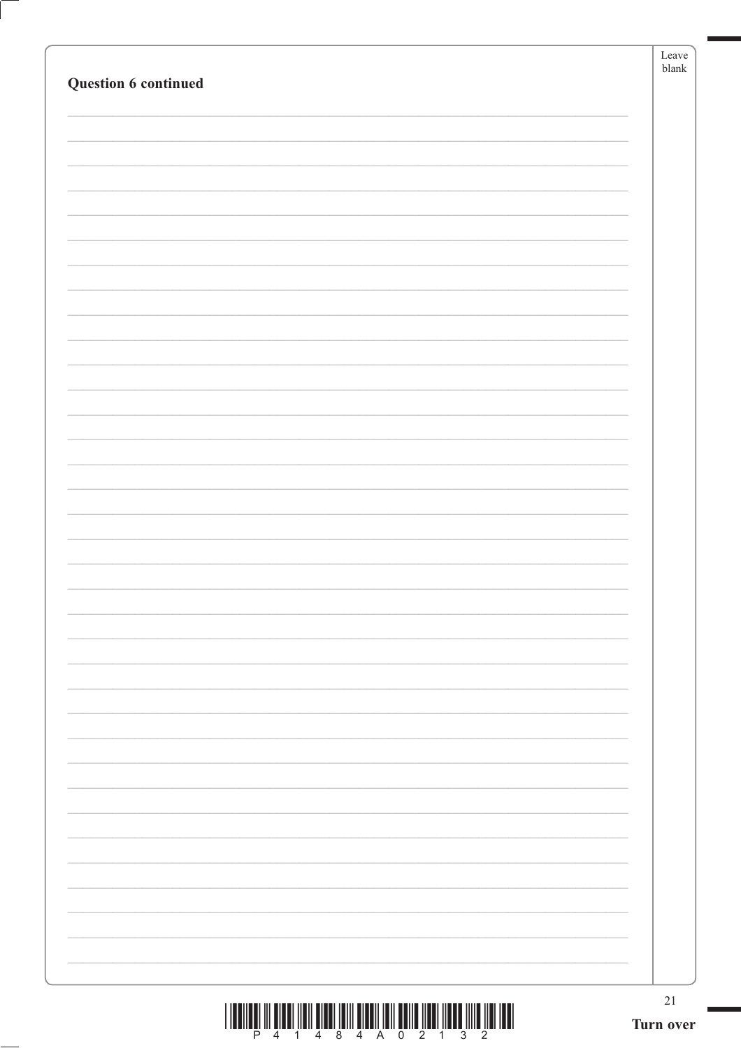|                                                                                                                                                                                                                                                                                                                                                                                                                                                               | Leave<br>$b$ lank |
|---------------------------------------------------------------------------------------------------------------------------------------------------------------------------------------------------------------------------------------------------------------------------------------------------------------------------------------------------------------------------------------------------------------------------------------------------------------|-------------------|
| Question 6 continued                                                                                                                                                                                                                                                                                                                                                                                                                                          |                   |
|                                                                                                                                                                                                                                                                                                                                                                                                                                                               |                   |
|                                                                                                                                                                                                                                                                                                                                                                                                                                                               |                   |
|                                                                                                                                                                                                                                                                                                                                                                                                                                                               |                   |
|                                                                                                                                                                                                                                                                                                                                                                                                                                                               |                   |
|                                                                                                                                                                                                                                                                                                                                                                                                                                                               |                   |
|                                                                                                                                                                                                                                                                                                                                                                                                                                                               |                   |
|                                                                                                                                                                                                                                                                                                                                                                                                                                                               |                   |
|                                                                                                                                                                                                                                                                                                                                                                                                                                                               |                   |
|                                                                                                                                                                                                                                                                                                                                                                                                                                                               |                   |
|                                                                                                                                                                                                                                                                                                                                                                                                                                                               |                   |
|                                                                                                                                                                                                                                                                                                                                                                                                                                                               |                   |
|                                                                                                                                                                                                                                                                                                                                                                                                                                                               |                   |
|                                                                                                                                                                                                                                                                                                                                                                                                                                                               |                   |
|                                                                                                                                                                                                                                                                                                                                                                                                                                                               |                   |
|                                                                                                                                                                                                                                                                                                                                                                                                                                                               |                   |
|                                                                                                                                                                                                                                                                                                                                                                                                                                                               |                   |
|                                                                                                                                                                                                                                                                                                                                                                                                                                                               |                   |
|                                                                                                                                                                                                                                                                                                                                                                                                                                                               |                   |
|                                                                                                                                                                                                                                                                                                                                                                                                                                                               |                   |
|                                                                                                                                                                                                                                                                                                                                                                                                                                                               |                   |
|                                                                                                                                                                                                                                                                                                                                                                                                                                                               |                   |
|                                                                                                                                                                                                                                                                                                                                                                                                                                                               |                   |
|                                                                                                                                                                                                                                                                                                                                                                                                                                                               |                   |
|                                                                                                                                                                                                                                                                                                                                                                                                                                                               |                   |
|                                                                                                                                                                                                                                                                                                                                                                                                                                                               |                   |
|                                                                                                                                                                                                                                                                                                                                                                                                                                                               |                   |
|                                                                                                                                                                                                                                                                                                                                                                                                                                                               |                   |
|                                                                                                                                                                                                                                                                                                                                                                                                                                                               |                   |
|                                                                                                                                                                                                                                                                                                                                                                                                                                                               |                   |
|                                                                                                                                                                                                                                                                                                                                                                                                                                                               |                   |
|                                                                                                                                                                                                                                                                                                                                                                                                                                                               |                   |
|                                                                                                                                                                                                                                                                                                                                                                                                                                                               | $21\,$            |
| $\begin{array}{c} \text{if} \ \text{if} \ \text{if} \ \text{if} \ \text{if} \ \text{if} \ \text{if} \ \text{if} \ \text{if} \ \text{if} \ \text{if} \ \text{if} \ \text{if} \ \text{if} \ \text{if} \ \text{if} \ \text{if} \ \text{if} \ \text{if} \ \text{if} \ \text{if} \ \text{if} \ \text{if} \ \text{if} \ \text{if} \ \text{if} \ \text{if} \ \text{if} \ \text{if} \ \text{if} \ \text{if} \ \text{if} \ \text{if} \ \text{if} \ \text{if} \ \text{$ | Turn over         |

 $\left( \right)$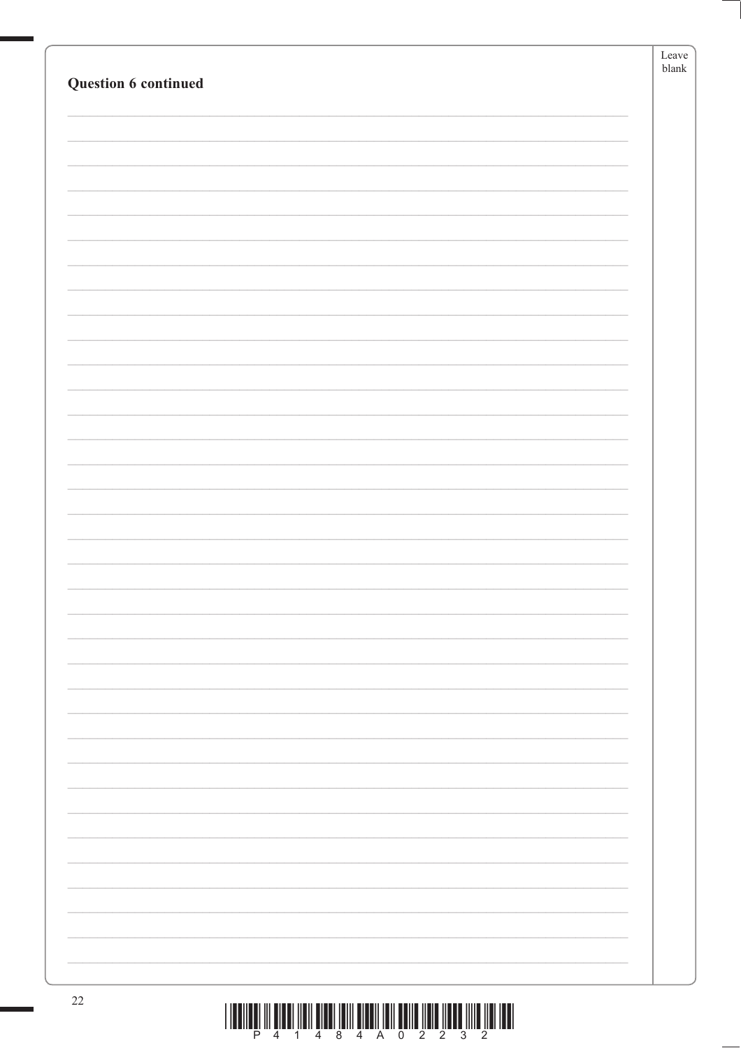| Question 6 continued |                                                                                  | Leave<br>$b$ lank |
|----------------------|----------------------------------------------------------------------------------|-------------------|
|                      |                                                                                  |                   |
|                      |                                                                                  |                   |
|                      |                                                                                  |                   |
|                      |                                                                                  |                   |
|                      |                                                                                  |                   |
|                      |                                                                                  |                   |
|                      |                                                                                  |                   |
|                      |                                                                                  |                   |
|                      |                                                                                  |                   |
|                      |                                                                                  |                   |
|                      |                                                                                  |                   |
|                      |                                                                                  |                   |
|                      |                                                                                  |                   |
|                      |                                                                                  |                   |
|                      |                                                                                  |                   |
|                      |                                                                                  |                   |
|                      |                                                                                  |                   |
|                      |                                                                                  |                   |
| $22\,$               | THE RELEASED OF SHEAR FORM SHEAR FROM SHEART HELD SEND HELD HERE INTO HEALTH THE |                   |

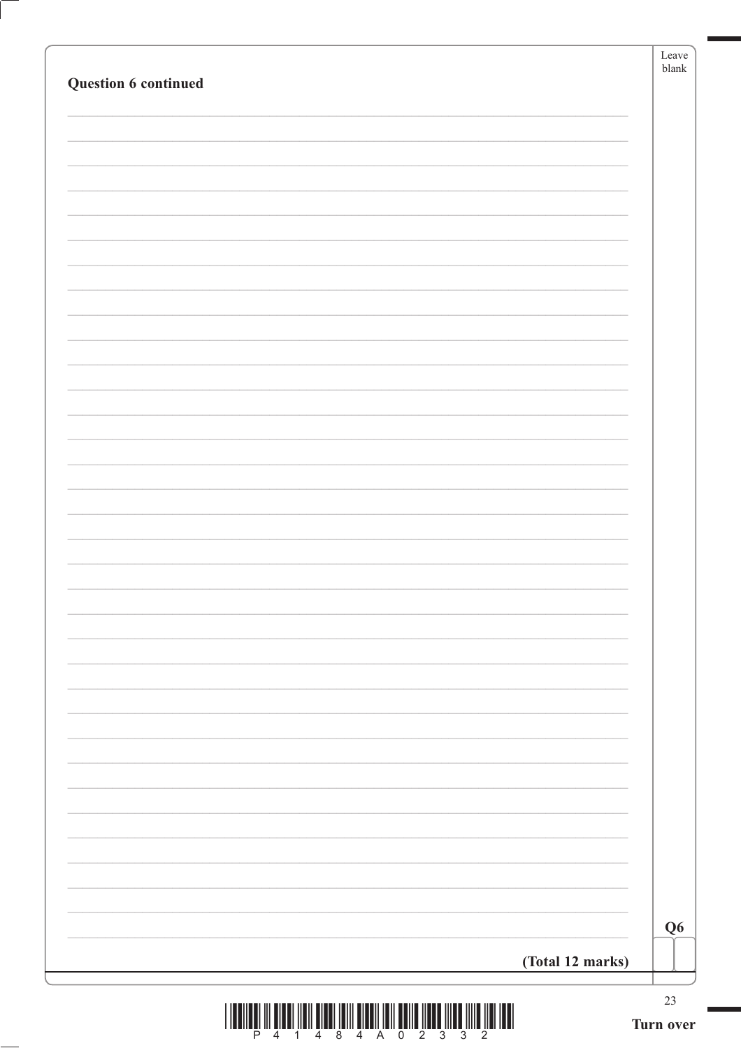|                                                                                                      | Leave<br>$b$ lank |
|------------------------------------------------------------------------------------------------------|-------------------|
| Question 6 continued                                                                                 |                   |
|                                                                                                      |                   |
|                                                                                                      |                   |
|                                                                                                      |                   |
|                                                                                                      |                   |
|                                                                                                      |                   |
|                                                                                                      |                   |
|                                                                                                      |                   |
|                                                                                                      |                   |
|                                                                                                      |                   |
|                                                                                                      |                   |
|                                                                                                      |                   |
|                                                                                                      |                   |
|                                                                                                      |                   |
|                                                                                                      |                   |
|                                                                                                      |                   |
|                                                                                                      |                   |
|                                                                                                      |                   |
|                                                                                                      |                   |
|                                                                                                      |                   |
|                                                                                                      |                   |
|                                                                                                      |                   |
|                                                                                                      |                   |
|                                                                                                      |                   |
|                                                                                                      |                   |
|                                                                                                      |                   |
|                                                                                                      |                   |
|                                                                                                      |                   |
|                                                                                                      |                   |
|                                                                                                      |                   |
|                                                                                                      |                   |
|                                                                                                      |                   |
|                                                                                                      |                   |
|                                                                                                      |                   |
|                                                                                                      | Q <sub>6</sub>    |
| (Total 12 marks)                                                                                     |                   |
|                                                                                                      |                   |
| <u>, ושמו ומון מוזון ממוזו מממון מוזמנות וומן ווספוס וווסן וממוס ווסון וממון מים וון וממוזמנון ו</u> | $23\,$            |



ſ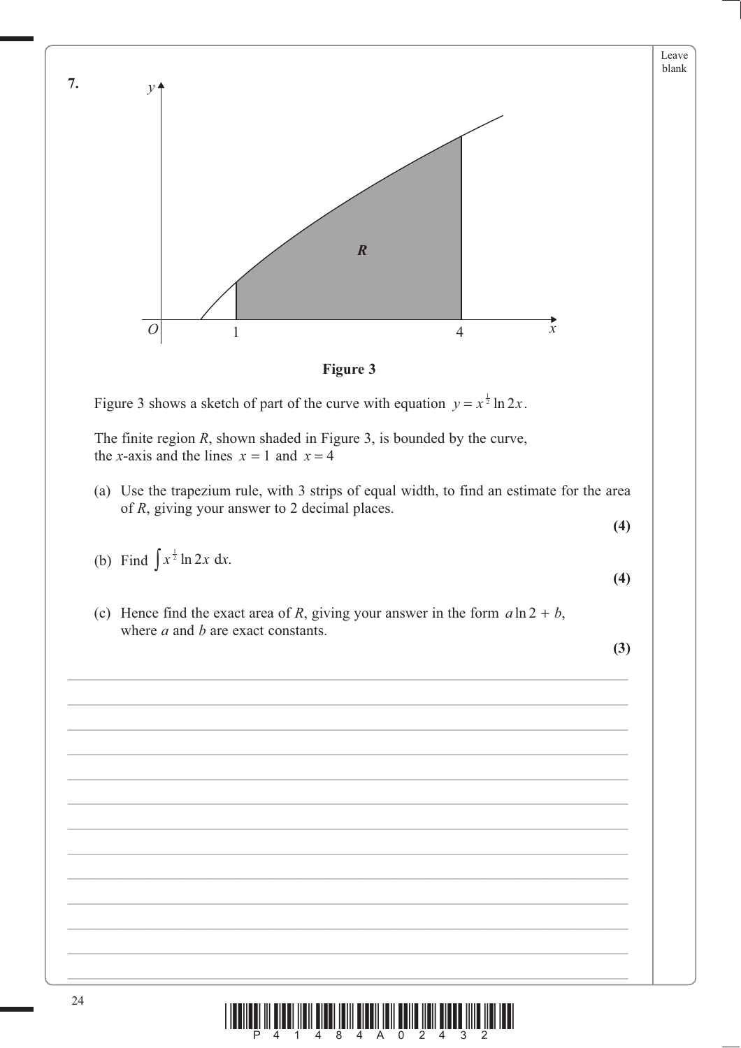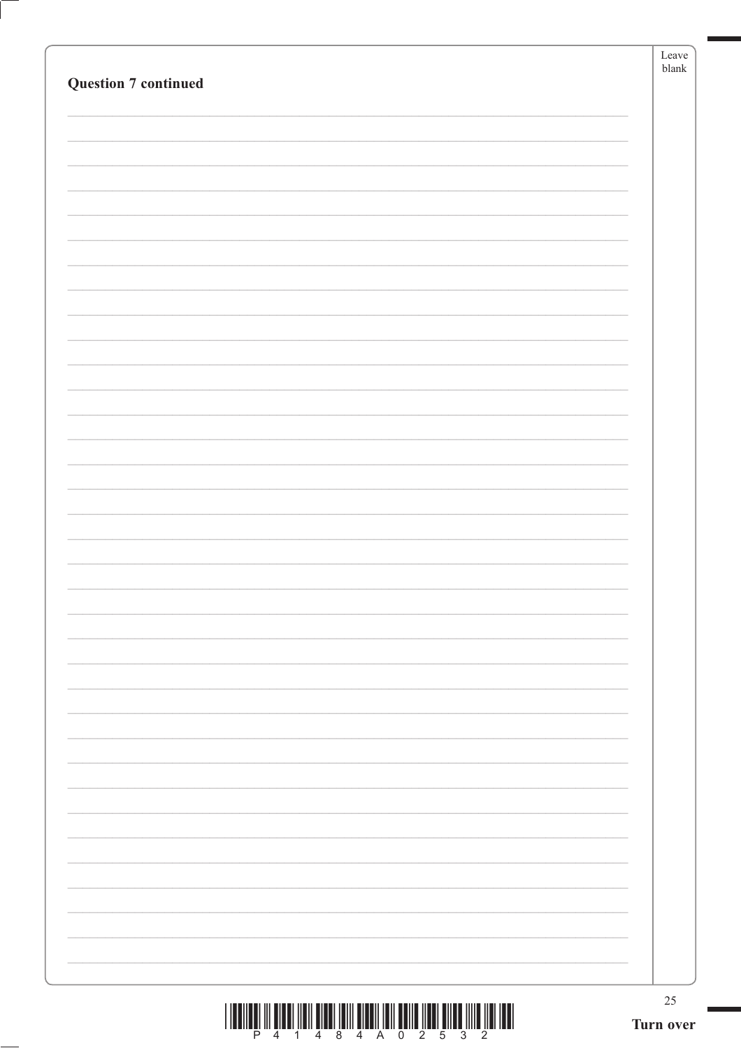|                             | Leave<br>$b$ lank   |
|-----------------------------|---------------------|
| <b>Question 7 continued</b> |                     |
|                             |                     |
|                             |                     |
|                             |                     |
|                             |                     |
|                             |                     |
|                             |                     |
|                             |                     |
|                             |                     |
|                             |                     |
|                             |                     |
|                             |                     |
|                             |                     |
|                             |                     |
|                             |                     |
|                             |                     |
|                             |                     |
|                             |                     |
|                             |                     |
|                             |                     |
|                             |                     |
|                             |                     |
|                             |                     |
|                             |                     |
|                             |                     |
|                             |                     |
|                             |                     |
|                             |                     |
|                             |                     |
|                             |                     |
|                             |                     |
|                             |                     |
|                             |                     |
|                             | $25\,$<br>Turn over |
|                             |                     |

 $\left($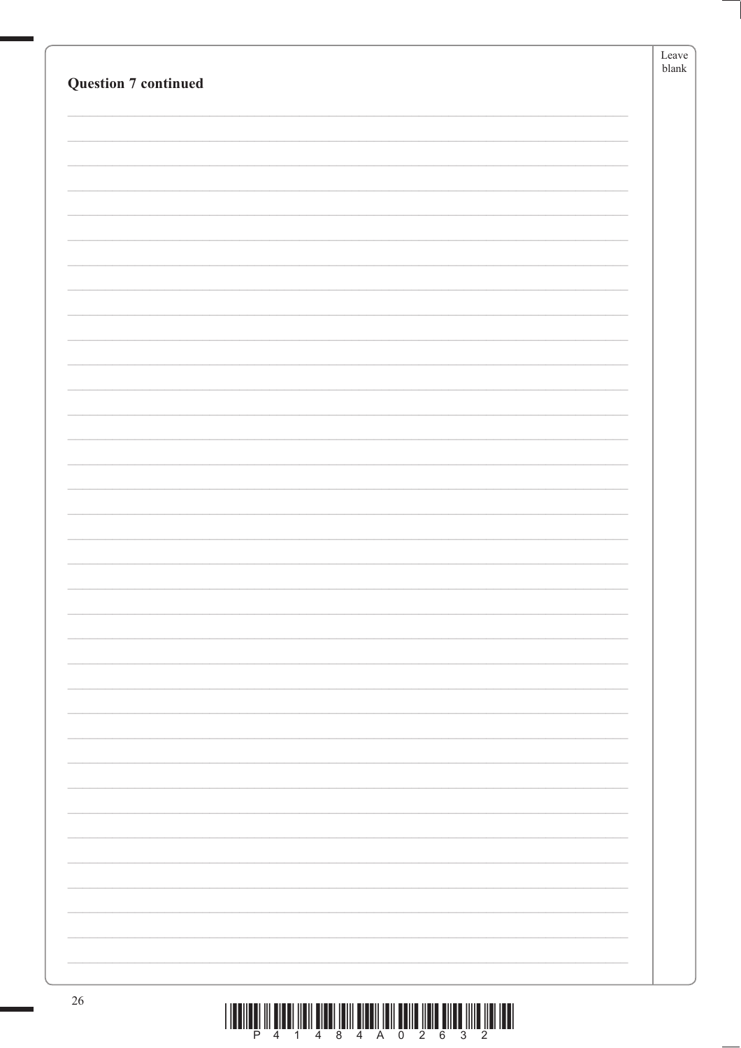|                                                                                                         | Leave    |
|---------------------------------------------------------------------------------------------------------|----------|
| <b>Question 7 continued</b>                                                                             | $b$ lank |
|                                                                                                         |          |
|                                                                                                         |          |
|                                                                                                         |          |
|                                                                                                         |          |
|                                                                                                         |          |
|                                                                                                         |          |
|                                                                                                         |          |
|                                                                                                         |          |
|                                                                                                         |          |
|                                                                                                         |          |
|                                                                                                         |          |
|                                                                                                         |          |
|                                                                                                         |          |
|                                                                                                         |          |
|                                                                                                         |          |
|                                                                                                         |          |
|                                                                                                         |          |
|                                                                                                         |          |
|                                                                                                         |          |
|                                                                                                         |          |
|                                                                                                         |          |
|                                                                                                         |          |
|                                                                                                         |          |
|                                                                                                         |          |
|                                                                                                         |          |
|                                                                                                         |          |
|                                                                                                         |          |
|                                                                                                         |          |
|                                                                                                         |          |
|                                                                                                         |          |
|                                                                                                         |          |
|                                                                                                         |          |
|                                                                                                         |          |
|                                                                                                         |          |
|                                                                                                         |          |
|                                                                                                         |          |
|                                                                                                         |          |
|                                                                                                         |          |
|                                                                                                         |          |
|                                                                                                         |          |
|                                                                                                         |          |
|                                                                                                         |          |
|                                                                                                         |          |
| $26\,$<br><u>I TOOTTOOT TIL OLOOT TIOTT OLOOT TOITI OLOOTTI TOIT OOTTO TIOTO OLLEE TITTO TIOTI TOOT</u> |          |

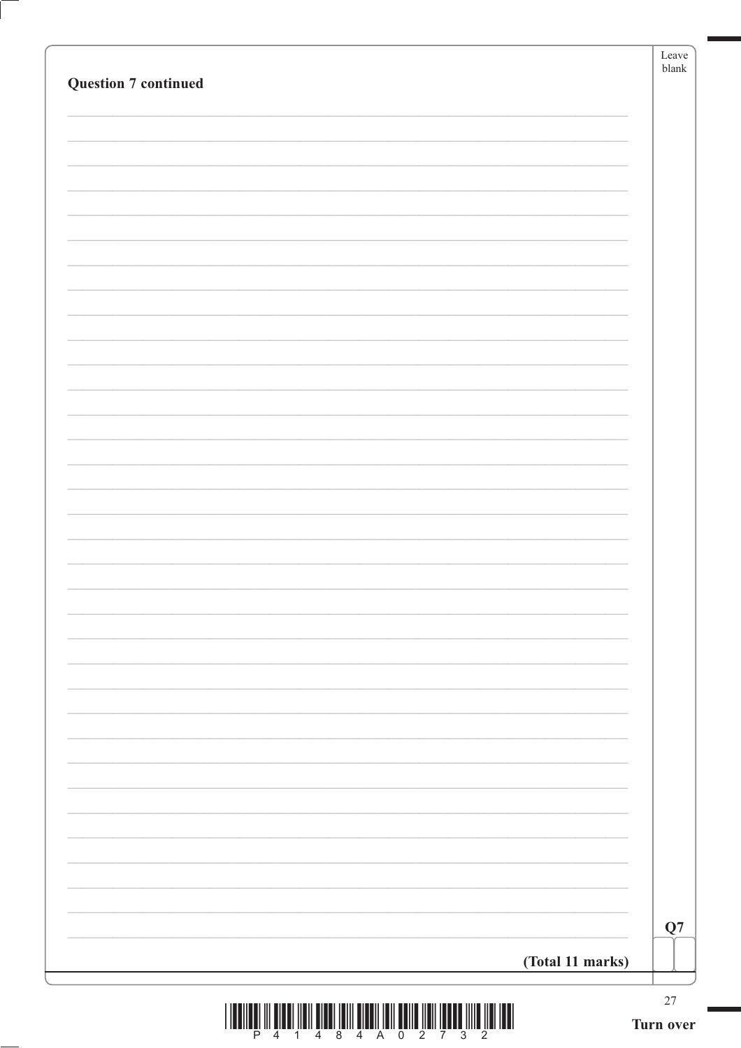|                                                                                   | Leave<br>$b$ lank |
|-----------------------------------------------------------------------------------|-------------------|
| <b>Question 7 continued</b>                                                       |                   |
|                                                                                   |                   |
|                                                                                   |                   |
|                                                                                   |                   |
|                                                                                   |                   |
|                                                                                   |                   |
|                                                                                   |                   |
|                                                                                   |                   |
|                                                                                   |                   |
|                                                                                   |                   |
|                                                                                   |                   |
|                                                                                   |                   |
|                                                                                   |                   |
|                                                                                   |                   |
|                                                                                   |                   |
|                                                                                   |                   |
|                                                                                   |                   |
|                                                                                   |                   |
|                                                                                   |                   |
|                                                                                   |                   |
|                                                                                   |                   |
|                                                                                   |                   |
|                                                                                   |                   |
|                                                                                   |                   |
|                                                                                   |                   |
|                                                                                   |                   |
|                                                                                   |                   |
|                                                                                   |                   |
|                                                                                   |                   |
|                                                                                   |                   |
|                                                                                   | Q7                |
| (Total 11 marks)                                                                  |                   |
|                                                                                   |                   |
| <u>, ושמו ומון מוון ממשמן ונמון מווסט ווסן ווסטוס וווסן ומסום ווסון וממשל ווו</u> | $27\,$            |

ſ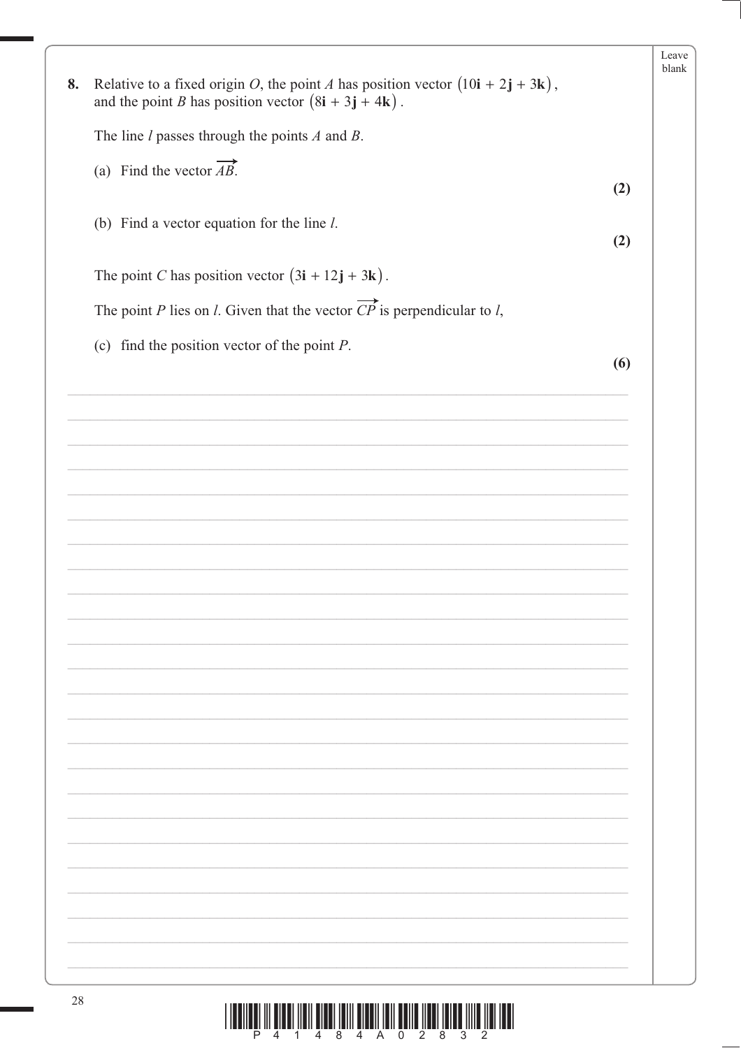|    |                                                                                                                                                                                              |     | Leave<br>blank |
|----|----------------------------------------------------------------------------------------------------------------------------------------------------------------------------------------------|-----|----------------|
| 8. | Relative to a fixed origin <i>O</i> , the point <i>A</i> has position vector $(10\mathbf{i} + 2\mathbf{j} + 3\mathbf{k})$ ,<br>and the point <i>B</i> has position vector $(8i + 3j + 4k)$ . |     |                |
|    | The line $l$ passes through the points $A$ and $B$ .                                                                                                                                         |     |                |
|    | (a) Find the vector $\overrightarrow{AB}$ .                                                                                                                                                  |     |                |
|    |                                                                                                                                                                                              | (2) |                |
|    | (b) Find a vector equation for the line $l$ .                                                                                                                                                | (2) |                |
|    | The point C has position vector $(3\mathbf{i} + 12\mathbf{j} + 3\mathbf{k})$ .                                                                                                               |     |                |
|    | The point P lies on <i>l</i> . Given that the vector $\overrightarrow{CP}$ is perpendicular to <i>l</i> ,                                                                                    |     |                |
|    | (c) find the position vector of the point $P$ .                                                                                                                                              |     |                |
|    |                                                                                                                                                                                              | (6) |                |
|    |                                                                                                                                                                                              |     |                |
|    |                                                                                                                                                                                              |     |                |
|    |                                                                                                                                                                                              |     |                |
|    |                                                                                                                                                                                              |     |                |
|    |                                                                                                                                                                                              |     |                |
|    |                                                                                                                                                                                              |     |                |
|    |                                                                                                                                                                                              |     |                |
|    |                                                                                                                                                                                              |     |                |
|    |                                                                                                                                                                                              |     |                |
|    |                                                                                                                                                                                              |     |                |
|    |                                                                                                                                                                                              |     |                |
|    |                                                                                                                                                                                              |     |                |
|    |                                                                                                                                                                                              |     |                |
|    |                                                                                                                                                                                              |     |                |
|    |                                                                                                                                                                                              |     |                |
|    |                                                                                                                                                                                              |     |                |
|    |                                                                                                                                                                                              |     |                |
|    |                                                                                                                                                                                              |     |                |
|    |                                                                                                                                                                                              |     |                |
| 28 |                                                                                                                                                                                              |     |                |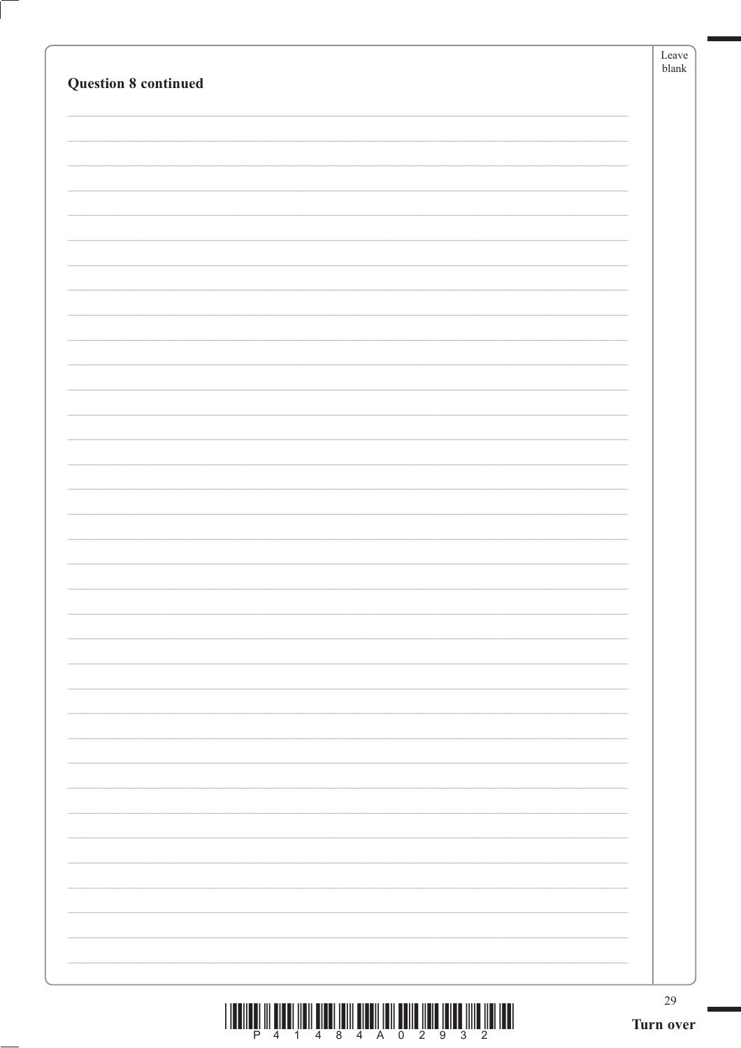|                             | Leave<br>$b$ lank |
|-----------------------------|-------------------|
| <b>Question 8 continued</b> |                   |
|                             |                   |
|                             |                   |
|                             |                   |
|                             |                   |
|                             |                   |
|                             |                   |
|                             |                   |
|                             |                   |
|                             |                   |
|                             |                   |
|                             |                   |
|                             |                   |
|                             |                   |
|                             |                   |
|                             |                   |
|                             |                   |
|                             |                   |
|                             |                   |
|                             |                   |
|                             |                   |
|                             |                   |
|                             |                   |
|                             |                   |
|                             |                   |
|                             |                   |
|                             |                   |
|                             |                   |
|                             |                   |
|                             |                   |
|                             |                   |
|                             |                   |
|                             | 29                |
|                             | Turn over         |

 $\left($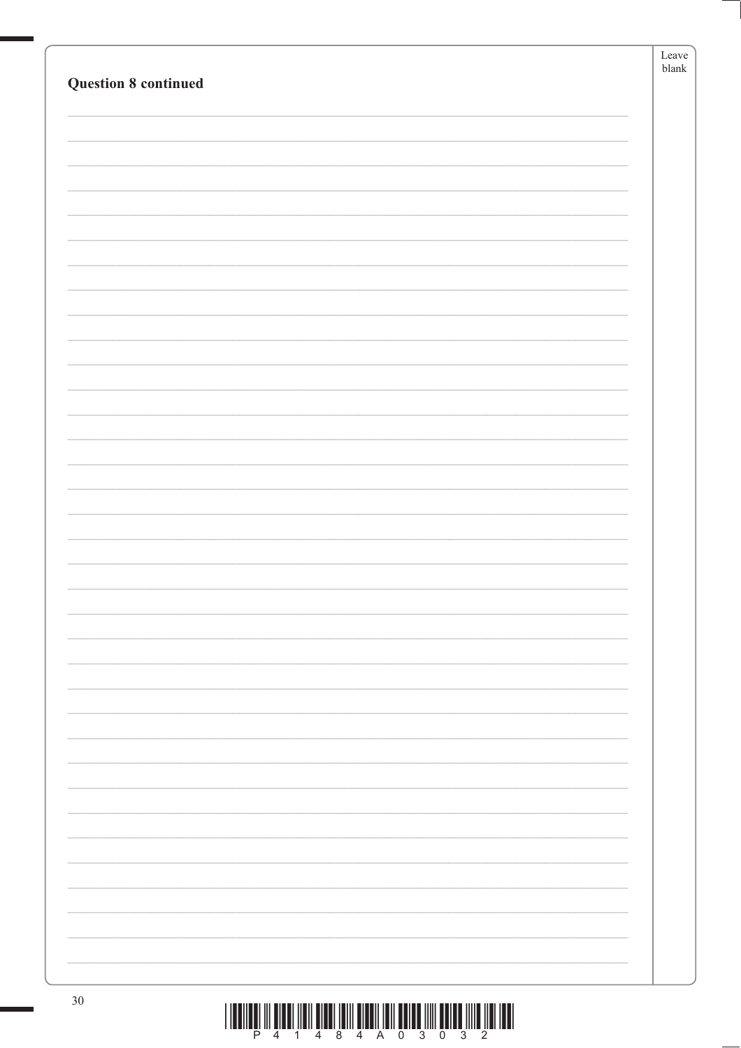| <b>Question 8 continued</b> | Leave<br>$b$ lank |
|-----------------------------|-------------------|
|                             |                   |
|                             |                   |
|                             |                   |
|                             |                   |
|                             |                   |
|                             |                   |
|                             |                   |
|                             |                   |
|                             |                   |
|                             |                   |
|                             |                   |
|                             |                   |
|                             |                   |
|                             |                   |
|                             |                   |
|                             |                   |
|                             |                   |
|                             |                   |
|                             |                   |
|                             |                   |
|                             |                   |
|                             |                   |
|                             |                   |
|                             |                   |
|                             |                   |
|                             |                   |
|                             |                   |
|                             |                   |
|                             |                   |
|                             |                   |
|                             |                   |
| $30\,$                      |                   |

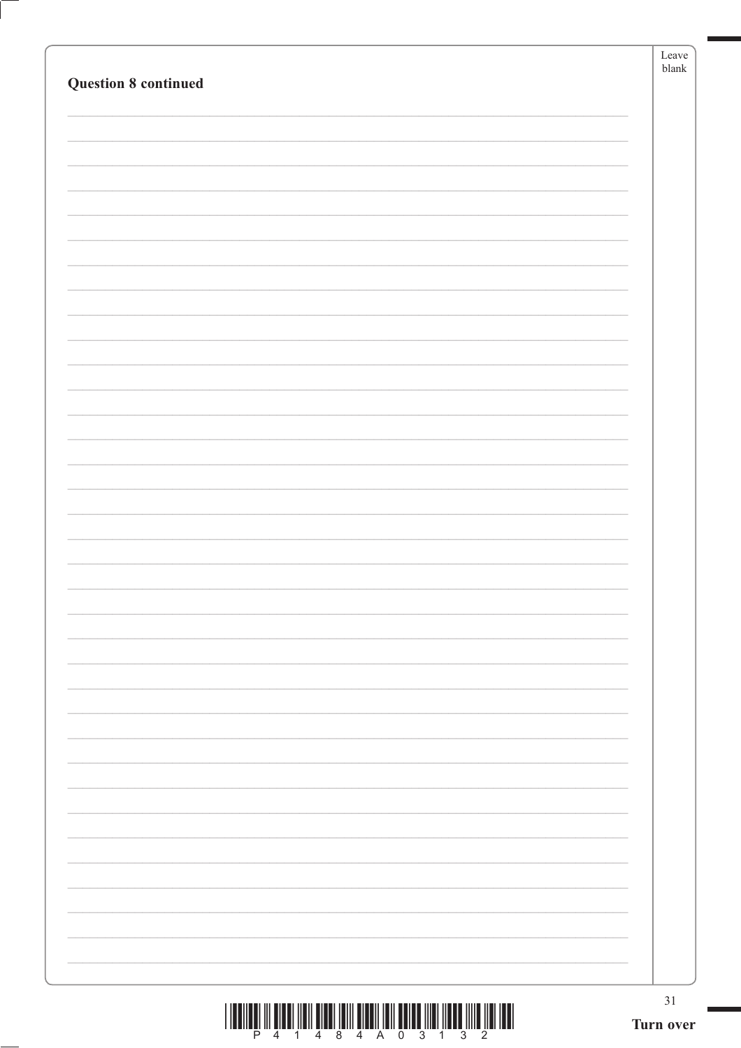| <b>Question 8 continued</b> | Leave<br>blank  |
|-----------------------------|-----------------|
|                             |                 |
|                             |                 |
|                             |                 |
|                             |                 |
|                             |                 |
|                             |                 |
|                             |                 |
|                             |                 |
|                             |                 |
|                             |                 |
|                             |                 |
|                             |                 |
|                             |                 |
|                             |                 |
|                             |                 |
|                             |                 |
|                             |                 |
|                             |                 |
|                             |                 |
|                             | 31<br>Turn over |

 $\left($